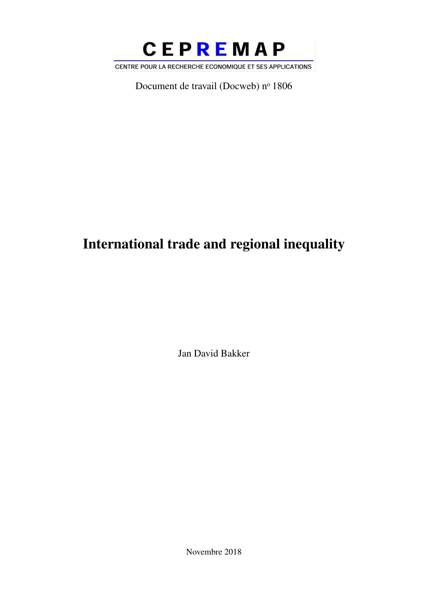

Document de travail (Docweb) nº 1806

# International trade and regional inequality

Jan David Bakker

Novembre 2018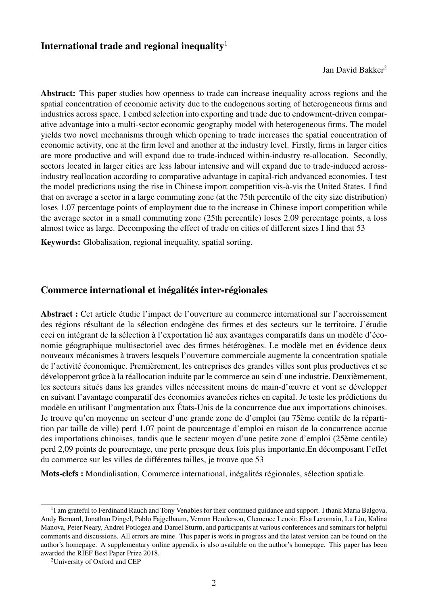### International trade and regional inequality<sup>1</sup>

Jan David Bakker<sup>2</sup>

Abstract: This paper studies how openness to trade can increase inequality across regions and the spatial concentration of economic activity due to the endogenous sorting of heterogeneous firms and industries across space. I embed selection into exporting and trade due to endowment-driven comparative advantage into a multi-sector economic geography model with heterogeneous firms. The model yields two novel mechanisms through which opening to trade increases the spatial concentration of economic activity, one at the firm level and another at the industry level. Firstly, firms in larger cities are more productive and will expand due to trade-induced within-industry re-allocation. Secondly, sectors located in larger cities are less labour intensive and will expand due to trade-induced acrossindustry reallocation according to comparative advantage in capital-rich andvanced economies. I test the model predictions using the rise in Chinese import competition vis-à-vis the United States. I find that on average a sector in a large commuting zone (at the 75th percentile of the city size distribution) loses 1.07 percentage points of employment due to the increase in Chinese import competition while the average sector in a small commuting zone (25th percentile) loses 2.09 percentage points, a loss almost twice as large. Decomposing the effect of trade on cities of different sizes I find that 53

Keywords: Globalisation, regional inequality, spatial sorting.

### Commerce international et inégalités inter-régionales

Abstract : Cet article étudie l'impact de l'ouverture au commerce international sur l'accroissement des régions résultant de la sélection endogène des firmes et des secteurs sur le territoire. J'étudie ceci en intégrant de la sélection à l'exportation lié aux avantages comparatifs dans un modèle d'économie géographique multisectoriel avec des firmes hétérogènes. Le modèle met en évidence deux nouveaux mécanismes à travers lesquels l'ouverture commerciale augmente la concentration spatiale de l'activité économique. Premièrement, les entreprises des grandes villes sont plus productives et se développeront grâce à la réallocation induite par le commerce au sein d'une industrie. Deuxièmement, les secteurs situés dans les grandes villes nécessitent moins de main-d'œuvre et vont se développer en suivant l'avantage comparatif des économies avancées riches en capital. Je teste les prédictions du modèle en utilisant l'augmentation aux États-Unis de la concurrence due aux importations chinoises. Je trouve qu'en moyenne un secteur d'une grande zone de d'emploi (au 75ème centile de la répartition par taille de ville) perd 1,07 point de pourcentage d'emploi en raison de la concurrence accrue des importations chinoises, tandis que le secteur moyen d'une petite zone d'emploi (25ème centile) perd 2,09 points de pourcentage, une perte presque deux fois plus importante.En décomposant l'effet du commerce sur les villes de différentes tailles, je trouve que 53

Mots-clefs : Mondialisation, Commerce international, inégalités régionales, sélection spatiale.

<sup>&</sup>lt;sup>1</sup>I am grateful to Ferdinand Rauch and Tony Venables for their continued guidance and support. I thank Maria Balgova, Andy Bernard, Jonathan Dingel, Pablo Fajgelbaum, Vernon Henderson, Clemence Lenoir, Elsa Leromain, Lu Liu, Kalina Manova, Peter Neary, Andrei Potlogea and Daniel Sturm, and participants at various conferences and seminars for helpful comments and discussions. All errors are mine. This paper is work in progress and the latest version can be found on the author's homepage. A supplementary online appendix is also available on the author's homepage. This paper has been awarded the RIEF Best Paper Prize 2018.

<sup>2</sup>University of Oxford and CEP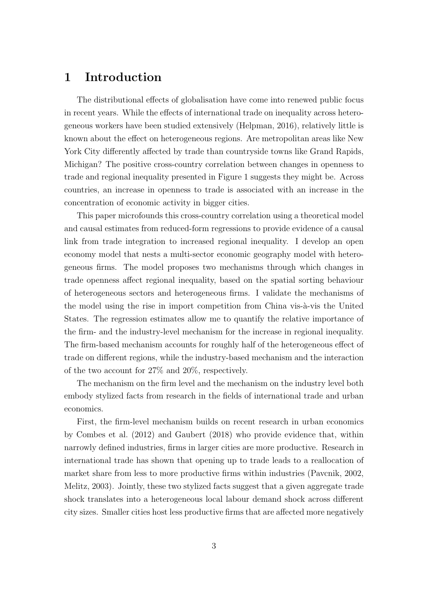# 1 Introduction

The distributional effects of globalisation have come into renewed public focus in recent years. While the effects of international trade on inequality across heterogeneous workers have been studied extensively (Helpman, 2016), relatively little is known about the effect on heterogeneous regions. Are metropolitan areas like New York City differently affected by trade than countryside towns like Grand Rapids, Michigan? The positive cross-country correlation between changes in openness to trade and regional inequality presented in Figure 1 suggests they might be. Across countries, an increase in openness to trade is associated with an increase in the concentration of economic activity in bigger cities.

This paper microfounds this cross-country correlation using a theoretical model and causal estimates from reduced-form regressions to provide evidence of a causal link from trade integration to increased regional inequality. I develop an open economy model that nests a multi-sector economic geography model with heterogeneous firms. The model proposes two mechanisms through which changes in trade openness affect regional inequality, based on the spatial sorting behaviour of heterogeneous sectors and heterogeneous firms. I validate the mechanisms of the model using the rise in import competition from China vis- $\alpha$ -vis the United States. The regression estimates allow me to quantify the relative importance of the firm- and the industry-level mechanism for the increase in regional inequality. The firm-based mechanism accounts for roughly half of the heterogeneous effect of trade on different regions, while the industry-based mechanism and the interaction of the two account for 27% and 20%, respectively.

The mechanism on the firm level and the mechanism on the industry level both embody stylized facts from research in the fields of international trade and urban economics.

First, the firm-level mechanism builds on recent research in urban economics by Combes et al. (2012) and Gaubert (2018) who provide evidence that, within narrowly defined industries, firms in larger cities are more productive. Research in international trade has shown that opening up to trade leads to a reallocation of market share from less to more productive firms within industries (Pavcnik, 2002, Melitz, 2003). Jointly, these two stylized facts suggest that a given aggregate trade shock translates into a heterogeneous local labour demand shock across different city sizes. Smaller cities host less productive firms that are affected more negatively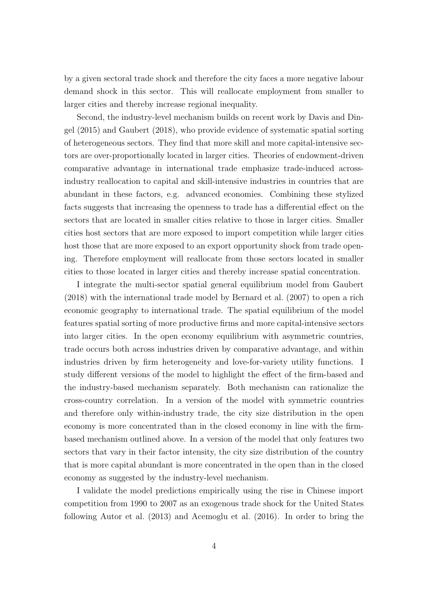by a given sectoral trade shock and therefore the city faces a more negative labour demand shock in this sector. This will reallocate employment from smaller to larger cities and thereby increase regional inequality.

Second, the industry-level mechanism builds on recent work by Davis and Dingel (2015) and Gaubert (2018), who provide evidence of systematic spatial sorting of heterogeneous sectors. They find that more skill and more capital-intensive sectors are over-proportionally located in larger cities. Theories of endowment-driven comparative advantage in international trade emphasize trade-induced acrossindustry reallocation to capital and skill-intensive industries in countries that are abundant in these factors, e.g. advanced economies. Combining these stylized facts suggests that increasing the openness to trade has a differential effect on the sectors that are located in smaller cities relative to those in larger cities. Smaller cities host sectors that are more exposed to import competition while larger cities host those that are more exposed to an export opportunity shock from trade opening. Therefore employment will reallocate from those sectors located in smaller cities to those located in larger cities and thereby increase spatial concentration.

I integrate the multi-sector spatial general equilibrium model from Gaubert (2018) with the international trade model by Bernard et al. (2007) to open a rich economic geography to international trade. The spatial equilibrium of the model features spatial sorting of more productive firms and more capital-intensive sectors into larger cities. In the open economy equilibrium with asymmetric countries, trade occurs both across industries driven by comparative advantage, and within industries driven by firm heterogeneity and love-for-variety utility functions. I study different versions of the model to highlight the effect of the firm-based and the industry-based mechanism separately. Both mechanism can rationalize the cross-country correlation. In a version of the model with symmetric countries and therefore only within-industry trade, the city size distribution in the open economy is more concentrated than in the closed economy in line with the firmbased mechanism outlined above. In a version of the model that only features two sectors that vary in their factor intensity, the city size distribution of the country that is more capital abundant is more concentrated in the open than in the closed economy as suggested by the industry-level mechanism.

I validate the model predictions empirically using the rise in Chinese import competition from 1990 to 2007 as an exogenous trade shock for the United States following Autor et al. (2013) and Acemoglu et al. (2016). In order to bring the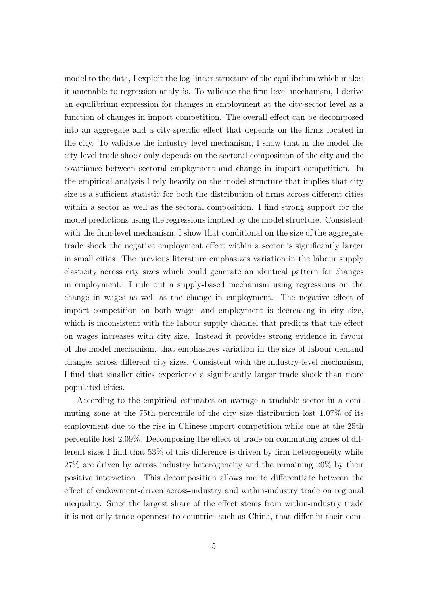model to the data, I exploit the log-linear structure of the equilibrium which makes it amenable to regression analysis. To validate the firm-level mechanism, I derive an equilibrium expression for changes in employment at the city-sector level as a function of changes in import competition. The overall effect can be decomposed into an aggregate and a city-specific effect that depends on the firms located in the city. To validate the industry level mechanism, I show that in the model the city-level trade shock only depends on the sectoral composition of the city and the covariance between sectoral employment and change in import competition. In the empirical analysis I rely heavily on the model structure that implies that city size is a sufficient statistic for both the distribution of firms across different cities within a sector as well as the sectoral composition. I find strong support for the model predictions using the regressions implied by the model structure. Consistent with the firm-level mechanism, I show that conditional on the size of the aggregate trade shock the negative employment effect within a sector is significantly larger in small cities. The previous literature emphasizes variation in the labour supply elasticity across city sizes which could generate an identical pattern for changes in employment. I rule out a supply-based mechanism using regressions on the change in wages as well as the change in employment. The negative effect of import competition on both wages and employment is decreasing in city size, which is inconsistent with the labour supply channel that predicts that the effect on wages increases with city size. Instead it provides strong evidence in favour of the model mechanism, that emphasizes variation in the size of labour demand changes across different city sizes. Consistent with the industry-level mechanism, I find that smaller cities experience a significantly larger trade shock than more populated cities.

According to the empirical estimates on average a tradable sector in a commuting zone at the 75th percentile of the city size distribution lost 1.07% of its employment due to the rise in Chinese import competition while one at the 25th percentile lost 2.09%. Decomposing the effect of trade on commuting zones of different sizes I find that 53% of this difference is driven by firm heterogeneity while 27% are driven by across industry heterogeneity and the remaining 20% by their positive interaction. This decomposition allows me to differentiate between the effect of endowment-driven across-industry and within-industry trade on regional inequality. Since the largest share of the effect stems from within-industry trade it is not only trade openness to countries such as China, that differ in their com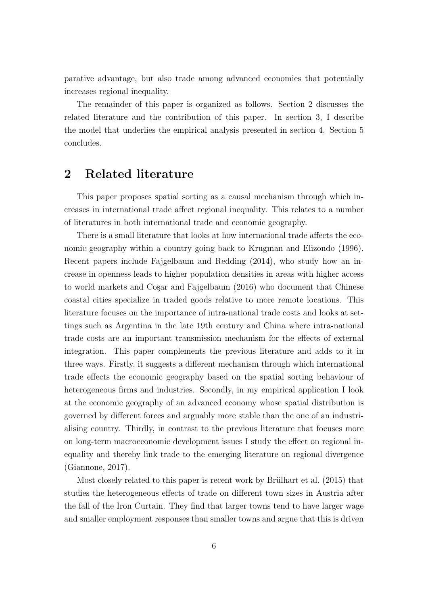parative advantage, but also trade among advanced economies that potentially increases regional inequality.

The remainder of this paper is organized as follows. Section 2 discusses the related literature and the contribution of this paper. In section 3, I describe the model that underlies the empirical analysis presented in section 4. Section 5 concludes.

# 2 Related literature

This paper proposes spatial sorting as a causal mechanism through which increases in international trade affect regional inequality. This relates to a number of literatures in both international trade and economic geography.

There is a small literature that looks at how international trade affects the economic geography within a country going back to Krugman and Elizondo (1996). Recent papers include Fajgelbaum and Redding (2014), who study how an increase in openness leads to higher population densities in areas with higher access to world markets and Cosar and Fajgelbaum (2016) who document that Chinese coastal cities specialize in traded goods relative to more remote locations. This literature focuses on the importance of intra-national trade costs and looks at settings such as Argentina in the late 19th century and China where intra-national trade costs are an important transmission mechanism for the effects of external integration. This paper complements the previous literature and adds to it in three ways. Firstly, it suggests a different mechanism through which international trade effects the economic geography based on the spatial sorting behaviour of heterogeneous firms and industries. Secondly, in my empirical application I look at the economic geography of an advanced economy whose spatial distribution is governed by different forces and arguably more stable than the one of an industrialising country. Thirdly, in contrast to the previous literature that focuses more on long-term macroeconomic development issues I study the effect on regional inequality and thereby link trade to the emerging literature on regional divergence (Giannone, 2017).

Most closely related to this paper is recent work by Brülhart et al.  $(2015)$  that studies the heterogeneous effects of trade on different town sizes in Austria after the fall of the Iron Curtain. They find that larger towns tend to have larger wage and smaller employment responses than smaller towns and argue that this is driven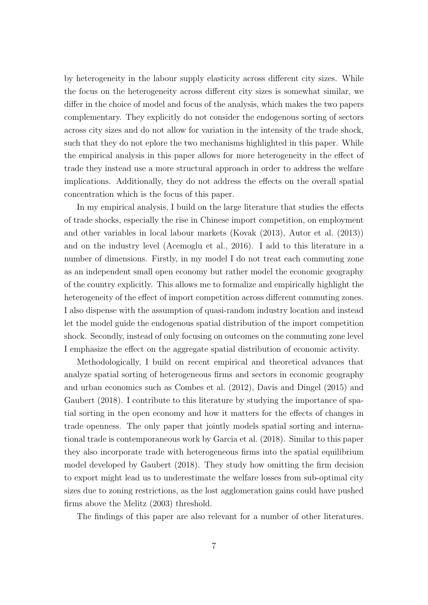by heterogeneity in the labour supply elasticity across different city sizes. While the focus on the heterogeneity across different city sizes is somewhat similar, we differ in the choice of model and focus of the analysis, which makes the two papers complementary. They explicitly do not consider the endogenous sorting of sectors across city sizes and do not allow for variation in the intensity of the trade shock, such that they do not eplore the two mechanisms highlighted in this paper. While the empirical analysis in this paper allows for more heterogeneity in the effect of trade they instead use a more structural approach in order to address the welfare implications. Additionally, they do not address the effects on the overall spatial concentration which is the focus of this paper.

In my empirical analysis, I build on the large literature that studies the effects of trade shocks, especially the rise in Chinese import competition, on employment and other variables in local labour markets (Kovak (2013), Autor et al. (2013)) and on the industry level (Acemoglu et al., 2016). I add to this literature in a number of dimensions. Firstly, in my model I do not treat each commuting zone as an independent small open economy but rather model the economic geography of the country explicitly. This allows me to formalize and empirically highlight the heterogeneity of the effect of import competition across different commuting zones. I also dispense with the assumption of quasi-random industry location and instead let the model guide the endogenous spatial distribution of the import competition shock. Secondly, instead of only focusing on outcomes on the commuting zone level I emphasize the effect on the aggregate spatial distribution of economic activity.

Methodologically, I build on recent empirical and theoretical advances that analyze spatial sorting of heterogeneous firms and sectors in economic geography and urban economics such as Combes et al. (2012), Davis and Dingel (2015) and Gaubert (2018). I contribute to this literature by studying the importance of spatial sorting in the open economy and how it matters for the effects of changes in trade openness. The only paper that jointly models spatial sorting and international trade is contemporaneous work by Garcia et al. (2018). Similar to this paper they also incorporate trade with heterogeneous firms into the spatial equilibrium model developed by Gaubert (2018). They study how omitting the firm decision to export might lead us to underestimate the welfare losses from sub-optimal city sizes due to zoning restrictions, as the lost agglomeration gains could have pushed firms above the Melitz (2003) threshold.

The findings of this paper are also relevant for a number of other literatures.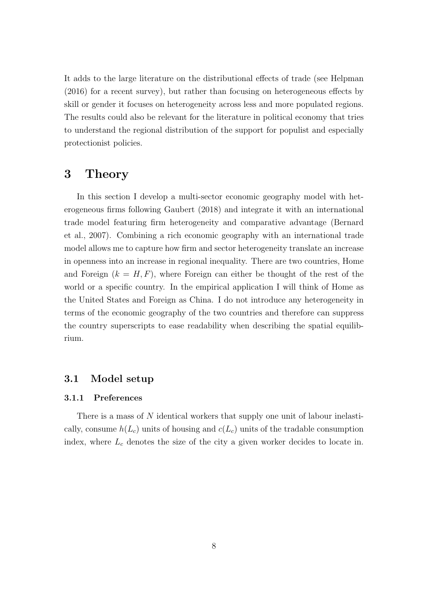It adds to the large literature on the distributional effects of trade (see Helpman (2016) for a recent survey), but rather than focusing on heterogeneous effects by skill or gender it focuses on heterogeneity across less and more populated regions. The results could also be relevant for the literature in political economy that tries to understand the regional distribution of the support for populist and especially protectionist policies.

# 3 Theory

In this section I develop a multi-sector economic geography model with heterogeneous firms following Gaubert (2018) and integrate it with an international trade model featuring firm heterogeneity and comparative advantage (Bernard et al., 2007). Combining a rich economic geography with an international trade model allows me to capture how firm and sector heterogeneity translate an increase in openness into an increase in regional inequality. There are two countries, Home and Foreign  $(k = H, F)$ , where Foreign can either be thought of the rest of the world or a specific country. In the empirical application I will think of Home as the United States and Foreign as China. I do not introduce any heterogeneity in terms of the economic geography of the two countries and therefore can suppress the country superscripts to ease readability when describing the spatial equilibrium.

### 3.1 Model setup

#### 3.1.1 Preferences

There is a mass of N identical workers that supply one unit of labour inelastically, consume  $h(L_c)$  units of housing and  $c(L_c)$  units of the tradable consumption index, where  $L_c$  denotes the size of the city a given worker decides to locate in.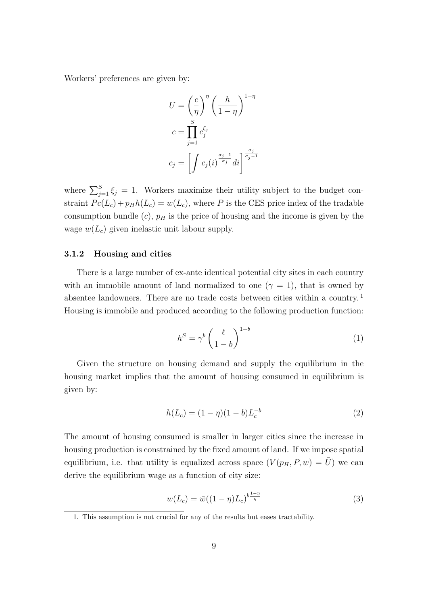Workers' preferences are given by:

$$
U = \left(\frac{c}{\eta}\right)^{\eta} \left(\frac{h}{1-\eta}\right)^{1-\eta}
$$

$$
c = \prod_{j=1}^{S} c_j^{\xi_j}
$$

$$
c_j = \left[\int c_j(i)^{\frac{\sigma_j - 1}{\sigma_j}} di\right]^{\frac{\sigma_j}{\sigma_j - 1}}
$$

where  $\sum_{j=1}^{S} \xi_j = 1$ . Workers maximize their utility subject to the budget constraint  $P_c(L_c) + p_H h(L_c) = w(L_c)$ , where P is the CES price index of the tradable consumption bundle  $(c)$ ,  $p<sub>H</sub>$  is the price of housing and the income is given by the wage  $w(L_c)$  given inelastic unit labour supply.

#### 3.1.2 Housing and cities

There is a large number of ex-ante identical potential city sites in each country with an immobile amount of land normalized to one ( $\gamma = 1$ ), that is owned by absentee landowners. There are no trade costs between cities within a country.<sup>1</sup> Housing is immobile and produced according to the following production function:

$$
h^S = \gamma^b \left(\frac{\ell}{1-b}\right)^{1-b} \tag{1}
$$

Given the structure on housing demand and supply the equilibrium in the housing market implies that the amount of housing consumed in equilibrium is given by:

$$
h(L_c) = (1 - \eta)(1 - b)L_c^{-b}
$$
\n(2)

The amount of housing consumed is smaller in larger cities since the increase in housing production is constrained by the fixed amount of land. If we impose spatial equilibrium, i.e. that utility is equalized across space  $(V(p_H, P, w) = \overline{U})$  we can derive the equilibrium wage as a function of city size:

$$
w(L_c) = \bar{w}((1 - \eta)L_c)^{b \frac{1 - \eta}{\eta}}
$$
\n(3)

<sup>1.</sup> This assumption is not crucial for any of the results but eases tractability.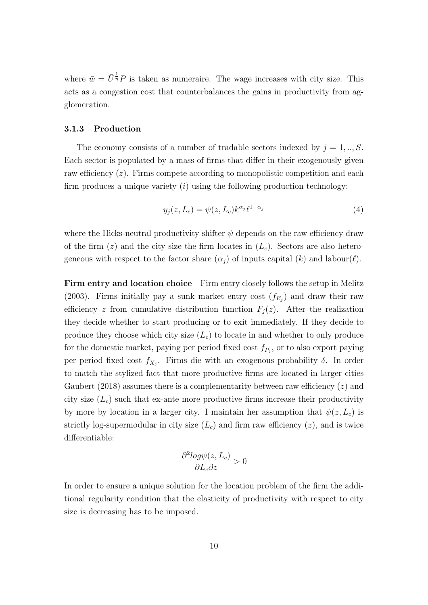where  $\bar{w} = \bar{U}^{\frac{1}{\eta}} P$  is taken as numeraire. The wage increases with city size. This acts as a congestion cost that counterbalances the gains in productivity from agglomeration.

#### 3.1.3 Production

The economy consists of a number of tradable sectors indexed by  $j = 1, ..., S$ . Each sector is populated by a mass of firms that differ in their exogenously given raw efficiency  $(z)$ . Firms compete according to monopolistic competition and each firm produces a unique variety  $(i)$  using the following production technology:

$$
y_j(z, L_c) = \psi(z, L_c) k^{\alpha_j} \ell^{1 - \alpha_j} \tag{4}
$$

where the Hicks-neutral productivity shifter  $\psi$  depends on the raw efficiency draw of the firm  $(z)$  and the city size the firm locates in  $(L<sub>c</sub>)$ . Sectors are also heterogeneous with respect to the factor share  $(\alpha_i)$  of inputs capital  $(k)$  and labour $(\ell)$ .

**Firm entry and location choice** Firm entry closely follows the setup in Melitz (2003). Firms initially pay a sunk market entry cost  $(f_{E_j})$  and draw their raw efficiency z from cumulative distribution function  $F_j(z)$ . After the realization they decide whether to start producing or to exit immediately. If they decide to produce they choose which city size  $(L_c)$  to locate in and whether to only produce for the domestic market, paying per period fixed cost  $f_{P_j}$ , or to also export paying per period fixed cost  $f_{X_j}$ . Firms die with an exogenous probability  $\delta$ . In order to match the stylized fact that more productive firms are located in larger cities Gaubert (2018) assumes there is a complementarity between raw efficiency  $(z)$  and city size  $(L_c)$  such that ex-ante more productive firms increase their productivity by more by location in a larger city. I maintain her assumption that  $\psi(z, L_c)$  is strictly log-supermodular in city size  $(L<sub>c</sub>)$  and firm raw efficiency  $(z)$ , and is twice differentiable:

$$
\frac{\partial^2 log \psi(z, L_c)}{\partial L_c \partial z} > 0
$$

In order to ensure a unique solution for the location problem of the firm the additional regularity condition that the elasticity of productivity with respect to city size is decreasing has to be imposed.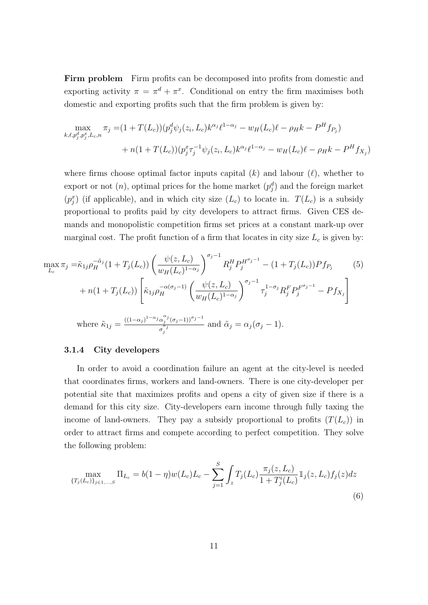Firm problem Firm profits can be decomposed into profits from domestic and exporting activity  $\pi = \pi^d + \pi^x$ . Conditional on entry the firm maximises both domestic and exporting profits such that the firm problem is given by:

$$
\max_{k,\ell,p_j^d,p_j^x,L_c,n} \pi_j = (1+T(L_c))(p_j^d \psi_j(z_i,L_c)k^{\alpha_j}\ell^{1-\alpha_j} - w_H(L_c)\ell - \rho_H k - P^H f_{P_j}) + n(1+T(L_c))(p_j^x \tau_j^{-1} \psi_j(z_i,L_c)k^{\alpha_j}\ell^{1-\alpha_j} - w_H(L_c)\ell - \rho_H k - P^H f_{X_j})
$$

where firms choose optimal factor inputs capital  $(k)$  and labour  $(\ell)$ , whether to export or not  $(n)$ , optimal prices for the home market  $(p_j^d)$  and the foreign market  $(p_j^x)$  (if applicable), and in which city size  $(L_c)$  to locate in.  $T(L_c)$  is a subsidy proportional to profits paid by city developers to attract firms. Given CES demands and monopolistic competition firms set prices at a constant mark-up over marginal cost. The profit function of a firm that locates in city size  $L_c$  is given by:

$$
\max_{L_c} \pi_j = \tilde{\kappa}_{1j} \rho_H^{-\tilde{\alpha}_j} (1 + T_j(L_c)) \left( \frac{\psi(z, L_c)}{w_H(L_c)^{1 - \alpha_j}} \right)^{\sigma_j - 1} R_j^H P_j^{H^{\sigma_j - 1}} - (1 + T_j(L_c)) P f_{P_j} \tag{5}
$$
\n
$$
+ n(1 + T_j(L_c)) \left[ \tilde{\kappa}_{1j} \rho_H^{-\alpha(\sigma_j - 1)} \left( \frac{\psi(z, L_c)}{w_H(L_c)^{1 - \alpha_j}} \right)^{\sigma_j - 1} \tau_j^{1 - \sigma_j} R_j^F P_j^{F^{\sigma_j - 1}} - P f_{X_j} \right]
$$
\nwhere  $\tilde{\kappa}_{1j} = \frac{((1 - \alpha_j)^{1 - \alpha_j} \alpha_j^{\alpha_j} (\sigma_j - 1))^{\sigma_j - 1}}{\sigma_j^{\sigma_j}}$  and  $\tilde{\alpha}_j = \alpha_j(\sigma_j - 1)$ .

#### 3.1.4 City developers

In order to avoid a coordination failure an agent at the city-level is needed that coordinates firms, workers and land-owners. There is one city-developer per potential site that maximizes profits and opens a city of given size if there is a demand for this city size. City-developers earn income through fully taxing the income of land-owners. They pay a subsidy proportional to profits  $(T(L_c))$  in order to attract firms and compete according to perfect competition. They solve the following problem:

$$
\max_{\{T_j(L_c)\}_{j\in 1,\dots,S}} \Pi_{L_c} = b(1-\eta)w(L_c)L_c - \sum_{j=1}^S \int_z T_j(L_c) \frac{\pi_j(z, L_c)}{1 + T_j^i(L_c)} \mathbb{1}_j(z, L_c) f_j(z) dz
$$
\n(6)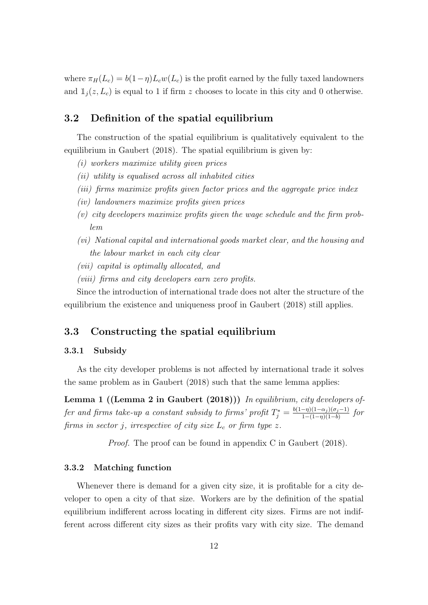where  $\pi_H(L_c) = b(1-\eta)L_cw(L_c)$  is the profit earned by the fully taxed landowners and  $\mathbb{1}_i(z, L_c)$  is equal to 1 if firm z chooses to locate in this city and 0 otherwise.

### 3.2 Definition of the spatial equilibrium

The construction of the spatial equilibrium is qualitatively equivalent to the equilibrium in Gaubert (2018). The spatial equilibrium is given by:

- (i) workers maximize utility given prices
- (ii) utility is equalised across all inhabited cities
- (iii) firms maximize profits given factor prices and the aggregate price index
- (iv) landowners maximize profits given prices
- (v) city developers maximize profits given the wage schedule and the firm problem
- (vi) National capital and international goods market clear, and the housing and the labour market in each city clear
- (vii) capital is optimally allocated, and
- (viii) firms and city developers earn zero profits.

Since the introduction of international trade does not alter the structure of the equilibrium the existence and uniqueness proof in Gaubert (2018) still applies.

### 3.3 Constructing the spatial equilibrium

#### 3.3.1 Subsidy

As the city developer problems is not affected by international trade it solves the same problem as in Gaubert (2018) such that the same lemma applies:

Lemma 1 ((Lemma 2 in Gaubert (2018))) In equilibrium, city developers of fer and firms take-up a constant subsidy to firms' profit  $T_j^* = \frac{b(1-\eta)(1-\alpha_j)(\sigma_j-1)}{1-(1-\eta)(1-b)}$  $\frac{-\eta(1-\alpha_j)(\sigma_j-1)}{1-(1-\eta)(1-b)}$  for firms in sector j, irrespective of city size  $L_c$  or firm type z.

Proof. The proof can be found in appendix C in Gaubert (2018).

#### 3.3.2 Matching function

Whenever there is demand for a given city size, it is profitable for a city developer to open a city of that size. Workers are by the definition of the spatial equilibrium indifferent across locating in different city sizes. Firms are not indifferent across different city sizes as their profits vary with city size. The demand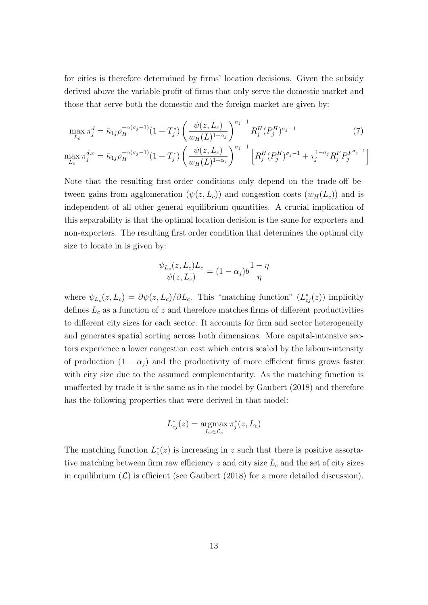for cities is therefore determined by firms' location decisions. Given the subsidy derived above the variable profit of firms that only serve the domestic market and those that serve both the domestic and the foreign market are given by:

$$
\max_{L_c} \pi_j^d = \tilde{\kappa}_{1j} \rho_H^{-\alpha(\sigma_j - 1)} (1 + T_j^*) \left( \frac{\psi(z, L_c)}{w_H(L)^{1 - \alpha_j}} \right)^{\sigma_j - 1} R_j^H(P_j^H)^{\sigma_j - 1}
$$
(7)

$$
\max_{L_c} \pi_j^{d,x} = \tilde{\kappa}_{1j} \rho_H^{-\alpha(\sigma_j - 1)} (1 + T_j^*) \left( \frac{\psi(z, L_c)}{w_H(L)^{1 - \alpha_j}} \right)^{\sigma_j - 1} \left[ R_j^H (P_j^H)^{\sigma_j - 1} + \tau_j^{1 - \sigma_j} R_j^F P_j^{F^{\sigma_j - 1}} \right]
$$

Note that the resulting first-order conditions only depend on the trade-off between gains from agglomeration  $(\psi(z, L_c))$  and congestion costs  $(w_H(L_c))$  and is independent of all other general equilibrium quantities. A crucial implication of this separability is that the optimal location decision is the same for exporters and non-exporters. The resulting first order condition that determines the optimal city size to locate in is given by:

$$
\frac{\psi_{L_c}(z, L_c)L_c}{\psi(z, L_c)} = (1 - \alpha_j)b\frac{1 - \eta}{\eta}
$$

where  $\psi_{L_c}(z, L_c) = \partial \psi(z, L_c)/\partial L_c$ . This "matching function"  $(L_{cj}^*(z))$  implicitly defines  $L_c$  as a function of z and therefore matches firms of different productivities to different city sizes for each sector. It accounts for firm and sector heterogeneity and generates spatial sorting across both dimensions. More capital-intensive sectors experience a lower congestion cost which enters scaled by the labour-intensity of production  $(1 - \alpha_j)$  and the productivity of more efficient firms grows faster with city size due to the assumed complementarity. As the matching function is unaffected by trade it is the same as in the model by Gaubert (2018) and therefore has the following properties that were derived in that model:

$$
L_{cj}^*(z) = \operatorname*{argmax}_{L_c \in \mathcal{L}_c} \pi_j^*(z, L_c)
$$

The matching function  $L_c^*(z)$  is increasing in z such that there is positive assortative matching between firm raw efficiency  $z$  and city size  $L<sub>c</sub>$  and the set of city sizes in equilibrium  $(\mathcal{L})$  is efficient (see Gaubert (2018) for a more detailed discussion).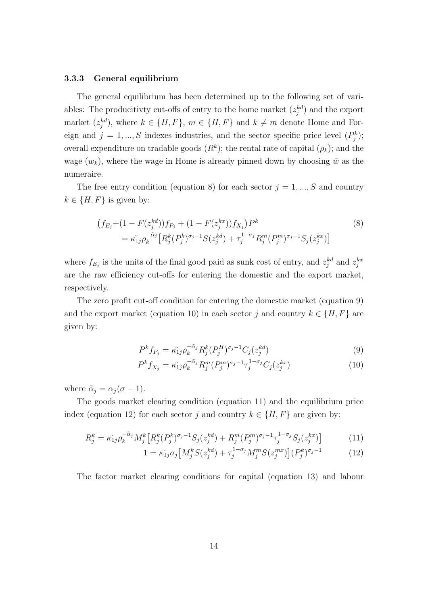#### 3.3.3 General equilibrium

The general equilibrium has been determined up to the following set of variables: The producitivity cut-offs of entry to the home market  $(z_j^{kd})$  and the export market  $(z_j^{kd})$ , where  $k \in \{H, F\}$ ,  $m \in \{H, F\}$  and  $k \neq m$  denote Home and Foreign and  $j = 1, ..., S$  indexes industries, and the sector specific price level  $(P_j^k)$ ; overall expenditure on tradable goods  $(R^k)$ ; the rental rate of capital  $(\rho_k)$ ; and the wage  $(w_k)$ , where the wage in Home is already pinned down by choosing  $\bar{w}$  as the numeraire.

The free entry condition (equation 8) for each sector  $j = 1, ..., S$  and country  $k \in \{H, F\}$  is given by:

$$
(f_{E_j} + (1 - F(z_j^{kd}))f_{P_j} + (1 - F(z_j^{kx}))f_{X_j})P^k
$$
  
=  $\tilde{\kappa_{1j}}\rho_k^{-\tilde{\alpha}_j} \left[ R_j^k (P_j^k)^{\sigma_j - 1} S(z_j^{kd}) + \tau_j^{1 - \sigma_j} R_j^m (P_j^m)^{\sigma_j - 1} S_j(z_j^{kx}) \right]$  (8)

where  $f_{E_j}$  is the units of the final good paid as sunk cost of entry, and  $z_j^{kd}$  and  $z_j^{kx}$ are the raw efficiency cut-offs for entering the domestic and the export market, respectively.

The zero profit cut-off condition for entering the domestic market (equation 9) and the export market (equation 10) in each sector j and country  $k \in \{H, F\}$  are given by:

$$
P^k f_{P_j} = \tilde{\kappa_{1j}} \rho_k^{-\tilde{\alpha}_j} R_j^k (P_j^H)^{\sigma_j - 1} C_j (z_j^{kd})
$$
\n
$$
\tag{9}
$$

$$
P^{k} f_{X_{j}} = \tilde{\kappa_{1j}} \rho_{k}^{-\tilde{\alpha}_{j}} R_{j}^{m} (P_{j}^{m})^{\sigma_{j}-1} \tau_{j}^{1-\sigma_{j}} C_{j}(z_{j}^{kx}) \tag{10}
$$

where  $\tilde{\alpha}_j = \alpha_j (\sigma - 1)$ .

The goods market clearing condition (equation 11) and the equilibrium price index (equation 12) for each sector j and country  $k \in \{H, F\}$  are given by:

$$
R_j^k = \tilde{\kappa_{1j}} \rho_k^{-\tilde{\alpha}_j} M_j^k \left[ R_j^k (P_j^k)^{\sigma_j - 1} S_j (z_j^{kd}) + R_j^m (P_j^m)^{\sigma_j - 1} \tau_j^{1 - \sigma_j} S_j (z_j^{kx}) \right]
$$
(11)

$$
1 = \tilde{\kappa_{1j}} \sigma_j \left[ M_j^k S(z_j^{kd}) + \tau_j^{1-\sigma_j} M_j^m S(z_j^{mx}) \right] (P_j^k)^{\sigma_j - 1} \tag{12}
$$

The factor market clearing conditions for capital (equation 13) and labour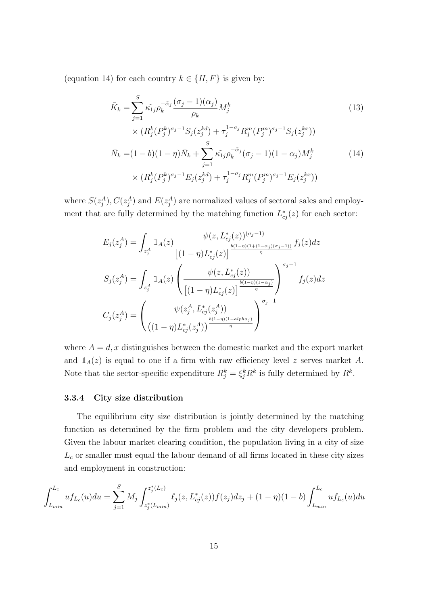(equation 14) for each country  $k \in \{H, F\}$  is given by:

$$
\bar{K}_k = \sum_{j=1}^S \tilde{\kappa}_{1j} \rho_k^{-\tilde{\alpha}_j} \frac{(\sigma_j - 1)(\alpha_j)}{\rho_k} M_j^k
$$
\n
$$
\times (R_j^k (P_j^k)^{\sigma_j - 1} S_j (z_j^{kd}) + \tau_j^{1 - \sigma_j} R_j^m (P_j^m)^{\sigma_j - 1} S_j (z_j^{kx}))
$$
\n
$$
\bar{N}_k = (1 - b)(1 - \eta) \bar{N}_k + \sum_{j=1}^S \tilde{\kappa}_{1j} \rho_k^{-\tilde{\alpha}_j} (\sigma_j - 1)(1 - \alpha_j) M_j^k
$$
\n
$$
\times (R_j^k (P_j^k)^{\sigma_j - 1} E_j (z_j^{kd}) + \tau_j^{1 - \sigma_j} R_j^m (P_j^m)^{\sigma_j - 1} E_j (z_j^{kx}))
$$
\n(14)

where  $S(z_j^A)$ ,  $C(z_j^A)$  and  $E(z_j^A)$  are normalized values of sectoral sales and employment that are fully determined by the matching function  $L_{cj}^{*}(z)$  for each sector:

$$
E_j(z_j^A) = \int_{z_j^A} \mathbb{1}_A(z) \frac{\psi(z, L_{cj}^*(z))^{(\sigma_j - 1)}}{\left[ (1 - \eta)L_{cj}^*(z) \right]^{\frac{b(1 - \eta)(1 + (1 - \alpha_j)(\sigma_j - 1))}{\eta}} f_j(z) dz}
$$

$$
S_j(z_j^A) = \int_{z_j^A} \mathbb{1}_A(z) \left( \frac{\psi(z, L_{cj}^*(z))}{\left[ (1 - \eta)L_{cj}^*(z) \right]^{\frac{b(1 - \eta)(1 - \alpha_j)}{\eta}}} \right)^{\sigma_j - 1} f_j(z) dz
$$

$$
C_j(z_j^A) = \left( \frac{\psi(z_j^A, L_{cj}^*(z_j^A))}{\left( (1 - \eta)L_{cj}^*(z_j^A) \right)^{\frac{b(1 - \eta)(1 - \alpha l p h a_j)}{\eta}}}} \right)^{\sigma_j - 1}
$$

where  $A = d, x$  distinguishes between the domestic market and the export market and  $1_A(z)$  is equal to one if a firm with raw efficiency level z serves market A. Note that the sector-specific expenditure  $R_j^k = \xi_j^k R^k$  is fully determined by  $R^k$ .

#### 3.3.4 City size distribution

The equilibrium city size distribution is jointly determined by the matching function as determined by the firm problem and the city developers problem. Given the labour market clearing condition, the population living in a city of size  $L_c$  or smaller must equal the labour demand of all firms located in these city sizes and employment in construction:

$$
\int_{L_{min}}^{L_c} u f_{L_c}(u) du = \sum_{j=1}^{S} M_j \int_{z_j^*(L_{min})}^{z_j^*(L_c)} \ell_j(z, L_{cj}^*(z)) f(z_j) dz_j + (1 - \eta)(1 - b) \int_{L_{min}}^{L_c} u f_{L_c}(u) du
$$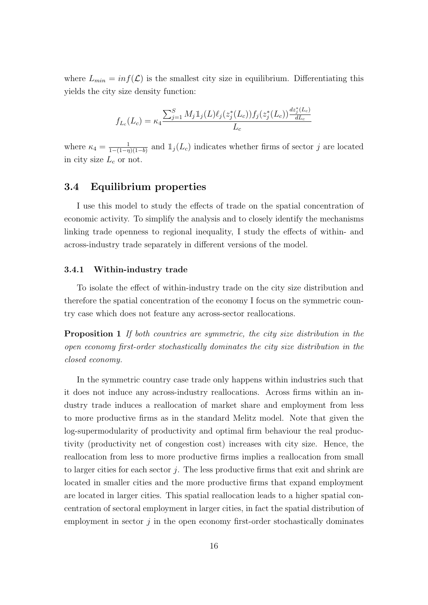where  $L_{min} = inf(\mathcal{L})$  is the smallest city size in equilibrium. Differentiating this yields the city size density function:

$$
f_{L_c}(L_c) = \kappa_4 \frac{\sum_{j=1}^S M_j \mathbb{1}_j(L)\ell_j(z_j^*(L_c)) f_j(z_j^*(L_c)) \frac{dz_j^*(L_c)}{dL_c}}{L_c}
$$

where  $\kappa_4 = \frac{1}{1-(1-n)}$  $\frac{1}{1-(1-\eta)(1-b)}$  and  $\mathbb{1}_j(L_c)$  indicates whether firms of sector j are located in city size  $L_c$  or not.

### 3.4 Equilibrium properties

I use this model to study the effects of trade on the spatial concentration of economic activity. To simplify the analysis and to closely identify the mechanisms linking trade openness to regional inequality, I study the effects of within- and across-industry trade separately in different versions of the model.

#### 3.4.1 Within-industry trade

To isolate the effect of within-industry trade on the city size distribution and therefore the spatial concentration of the economy I focus on the symmetric country case which does not feature any across-sector reallocations.

Proposition 1 If both countries are symmetric, the city size distribution in the open economy first-order stochastically dominates the city size distribution in the closed economy.

In the symmetric country case trade only happens within industries such that it does not induce any across-industry reallocations. Across firms within an industry trade induces a reallocation of market share and employment from less to more productive firms as in the standard Melitz model. Note that given the log-supermodularity of productivity and optimal firm behaviour the real productivity (productivity net of congestion cost) increases with city size. Hence, the reallocation from less to more productive firms implies a reallocation from small to larger cities for each sector  $j$ . The less productive firms that exit and shrink are located in smaller cities and the more productive firms that expand employment are located in larger cities. This spatial reallocation leads to a higher spatial concentration of sectoral employment in larger cities, in fact the spatial distribution of employment in sector  $j$  in the open economy first-order stochastically dominates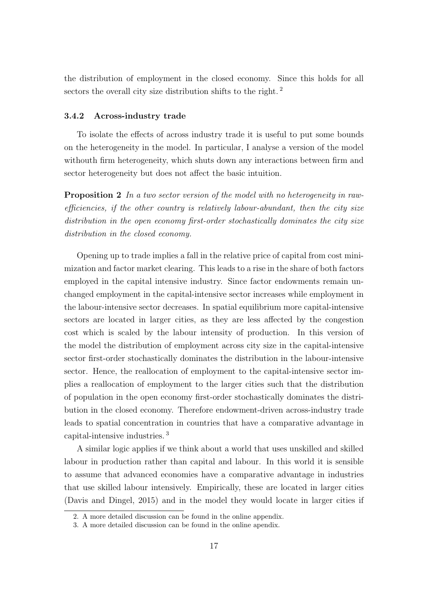the distribution of employment in the closed economy. Since this holds for all sectors the overall city size distribution shifts to the right.<sup>2</sup>

#### 3.4.2 Across-industry trade

To isolate the effects of across industry trade it is useful to put some bounds on the heterogeneity in the model. In particular, I analyse a version of the model withouth firm heterogeneity, which shuts down any interactions between firm and sector heterogeneity but does not affect the basic intuition.

**Proposition 2** In a two sector version of the model with no heterogeneity in rawefficiencies, if the other country is relatively labour-abundant, then the city size distribution in the open economy first-order stochastically dominates the city size distribution in the closed economy.

Opening up to trade implies a fall in the relative price of capital from cost minimization and factor market clearing. This leads to a rise in the share of both factors employed in the capital intensive industry. Since factor endowments remain unchanged employment in the capital-intensive sector increases while employment in the labour-intensive sector decreases. In spatial equilibrium more capital-intensive sectors are located in larger cities, as they are less affected by the congestion cost which is scaled by the labour intensity of production. In this version of the model the distribution of employment across city size in the capital-intensive sector first-order stochastically dominates the distribution in the labour-intensive sector. Hence, the reallocation of employment to the capital-intensive sector implies a reallocation of employment to the larger cities such that the distribution of population in the open economy first-order stochastically dominates the distribution in the closed economy. Therefore endowment-driven across-industry trade leads to spatial concentration in countries that have a comparative advantage in capital-intensive industries. <sup>3</sup>

A similar logic applies if we think about a world that uses unskilled and skilled labour in production rather than capital and labour. In this world it is sensible to assume that advanced economies have a comparative advantage in industries that use skilled labour intensively. Empirically, these are located in larger cities (Davis and Dingel, 2015) and in the model they would locate in larger cities if

<sup>2.</sup> A more detailed discussion can be found in the online appendix.

<sup>3.</sup> A more detailed discussion can be found in the online apendix.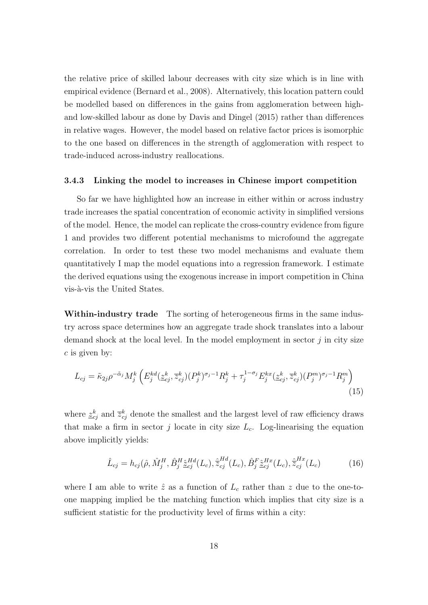the relative price of skilled labour decreases with city size which is in line with empirical evidence (Bernard et al., 2008). Alternatively, this location pattern could be modelled based on differences in the gains from agglomeration between highand low-skilled labour as done by Davis and Dingel (2015) rather than differences in relative wages. However, the model based on relative factor prices is isomorphic to the one based on differences in the strength of agglomeration with respect to trade-induced across-industry reallocations.

#### 3.4.3 Linking the model to increases in Chinese import competition

So far we have highlighted how an increase in either within or across industry trade increases the spatial concentration of economic activity in simplified versions of the model. Hence, the model can replicate the cross-country evidence from figure 1 and provides two different potential mechanisms to microfound the aggregate correlation. In order to test these two model mechanisms and evaluate them quantitatively I map the model equations into a regression framework. I estimate the derived equations using the exogenous increase in import competition in China vis-à-vis the United States.

Within-industry trade The sorting of heterogeneous firms in the same industry across space determines how an aggregate trade shock translates into a labour demand shock at the local level. In the model employment in sector  $j$  in city size  $c$  is given by:

$$
L_{cj} = \tilde{\kappa}_{2j} \rho^{-\tilde{\alpha}_j} M_j^k \left( E_j^{kd}(\underline{z}_{cj}^k, \overline{z}_{cj}^k) (P_j^k)^{\sigma_j - 1} R_j^k + \tau_j^{1 - \sigma_j} E_j^{kx}(\underline{z}_{cj}^k, \overline{z}_{cj}^k) (P_j^m)^{\sigma_j - 1} R_j^m \right)
$$
\n(15)

where  $\underline{z}_{cj}^k$  and  $\overline{z}_{cj}^k$  denote the smallest and the largest level of raw efficiency draws that make a firm in sector j locate in city size  $L_c$ . Log-linearising the equation above implicitly yields:

$$
\hat{L}_{cj} = h_{cj}(\hat{\rho}, \hat{M}_j^H, \hat{B}_j^H \hat{\underline{z}}_{cj}^{Hd}(L_c), \hat{\overline{z}}_{cj}^{Hd}(L_c), \hat{B}_j^F \hat{\underline{z}}_{cj}^{Hx}(L_c), \hat{\overline{z}}_{cj}^{Hx}(L_c)
$$
(16)

where I am able to write  $\hat{z}$  as a function of  $L_c$  rather than z due to the one-toone mapping implied be the matching function which implies that city size is a sufficient statistic for the productivity level of firms within a city: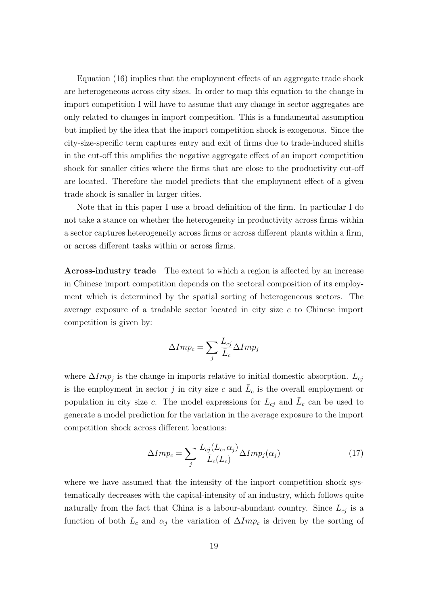Equation (16) implies that the employment effects of an aggregate trade shock are heterogeneous across city sizes. In order to map this equation to the change in import competition I will have to assume that any change in sector aggregates are only related to changes in import competition. This is a fundamental assumption but implied by the idea that the import competition shock is exogenous. Since the city-size-specific term captures entry and exit of firms due to trade-induced shifts in the cut-off this amplifies the negative aggregate effect of an import competition shock for smaller cities where the firms that are close to the productivity cut-off are located. Therefore the model predicts that the employment effect of a given trade shock is smaller in larger cities.

Note that in this paper I use a broad definition of the firm. In particular I do not take a stance on whether the heterogeneity in productivity across firms within a sector captures heterogeneity across firms or across different plants within a firm, or across different tasks within or across firms.

Across-industry trade The extent to which a region is affected by an increase in Chinese import competition depends on the sectoral composition of its employment which is determined by the spatial sorting of heterogeneous sectors. The average exposure of a tradable sector located in city size c to Chinese import competition is given by:

$$
\Delta Imp_c = \sum_j \frac{L_{cj}}{\bar{L}_c} \Delta Imp_j
$$

where  $\Delta Imp_j$  is the change in imports relative to initial domestic absorption.  $L_{cj}$ is the employment in sector j in city size c and  $\bar{L}_c$  is the overall employment or population in city size c. The model expressions for  $L_{cj}$  and  $\overline{L}_c$  can be used to generate a model prediction for the variation in the average exposure to the import competition shock across different locations:

$$
\Delta Imp_c = \sum_j \frac{L_{cj}(L_c, \alpha_j)}{\bar{L}_c(L_c)} \Delta Imp_j(\alpha_j)
$$
\n(17)

where we have assumed that the intensity of the import competition shock systematically decreases with the capital-intensity of an industry, which follows quite naturally from the fact that China is a labour-abundant country. Since  $L_{ci}$  is a function of both  $L_c$  and  $\alpha_j$  the variation of  $\Delta Imp_c$  is driven by the sorting of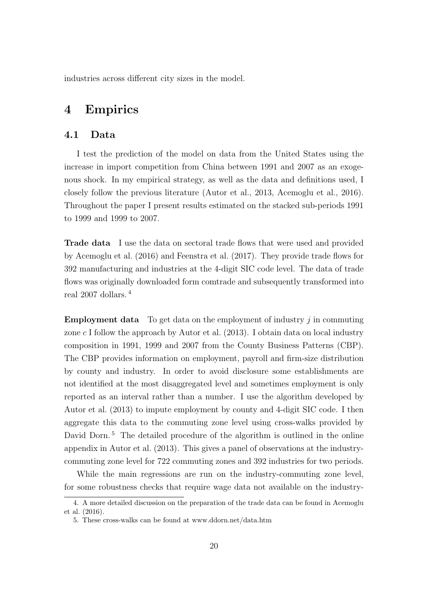industries across different city sizes in the model.

# 4 Empirics

### 4.1 Data

I test the prediction of the model on data from the United States using the increase in import competition from China between 1991 and 2007 as an exogenous shock. In my empirical strategy, as well as the data and definitions used, I closely follow the previous literature (Autor et al., 2013, Acemoglu et al., 2016). Throughout the paper I present results estimated on the stacked sub-periods 1991 to 1999 and 1999 to 2007.

Trade data I use the data on sectoral trade flows that were used and provided by Acemoglu et al. (2016) and Feenstra et al. (2017). They provide trade flows for 392 manufacturing and industries at the 4-digit SIC code level. The data of trade flows was originally downloaded form comtrade and subsequently transformed into real 2007 dollars. <sup>4</sup>

**Employment data** To get data on the employment of industry  $i$  in commuting zone c I follow the approach by Autor et al.  $(2013)$ . I obtain data on local industry composition in 1991, 1999 and 2007 from the County Business Patterns (CBP). The CBP provides information on employment, payroll and firm-size distribution by county and industry. In order to avoid disclosure some establishments are not identified at the most disaggregated level and sometimes employment is only reported as an interval rather than a number. I use the algorithm developed by Autor et al. (2013) to impute employment by county and 4-digit SIC code. I then aggregate this data to the commuting zone level using cross-walks provided by David Dorn.<sup>5</sup> The detailed procedure of the algorithm is outlined in the online appendix in Autor et al. (2013). This gives a panel of observations at the industrycommuting zone level for 722 commuting zones and 392 industries for two periods.

While the main regressions are run on the industry-commuting zone level, for some robustness checks that require wage data not available on the industry-

<sup>4.</sup> A more detailed discussion on the preparation of the trade data can be found in Acemoglu et al. (2016).

<sup>5.</sup> These cross-walks can be found at www.ddorn.net/data.htm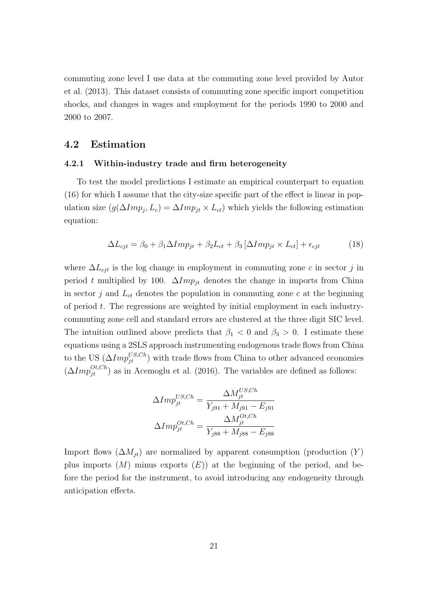commuting zone level I use data at the commuting zone level provided by Autor et al. (2013). This dataset consists of commuting zone specific import competition shocks, and changes in wages and employment for the periods 1990 to 2000 and 2000 to 2007.

### 4.2 Estimation

#### 4.2.1 Within-industry trade and firm heterogeneity

To test the model predictions I estimate an empirical counterpart to equation (16) for which I assume that the city-size specific part of the effect is linear in population size  $(g(\Delta Imp_j, L_c) = \Delta Imp_{jt} \times L_{ct})$  which yields the following estimation equation:

$$
\Delta L_{cjt} = \beta_0 + \beta_1 \Delta Imp_{jt} + \beta_2 L_{ct} + \beta_3 [\Delta Imp_{jt} \times L_{ct}] + \epsilon_{cjt}
$$
(18)

where  $\Delta L_{cjt}$  is the log change in employment in commuting zone c in sector j in period t multiplied by 100.  $\Delta Imp_{jt}$  denotes the change in imports from China in sector  $j$  and  $L_{ct}$  denotes the population in commuting zone  $c$  at the beginning of period  $t$ . The regressions are weighted by initial employment in each industrycommuting zone cell and standard errors are clustered at the three digit SIC level. The intuition outlined above predicts that  $\beta_1 < 0$  and  $\beta_3 > 0$ . I estimate these equations using a 2SLS approach instrumenting endogenous trade flows from China to the US  $(\Delta Imp_{jt}^{US,Ch})$  with trade flows from China to other advanced economies  $(\Delta Imp_{jt}^{Ot, Ch})$  as in Acemoglu et al. (2016). The variables are defined as follows:

$$
\Delta Imp_{jt}^{US,Ch} = \frac{\Delta M_{jt}^{US,Ch}}{Y_{j91} + M_{j91} - E_{j91}}
$$

$$
\Delta Imp_{jt}^{OL,Ch} = \frac{\Delta M_{jt}^{OL,Ch}}{Y_{j88} + M_{j88} - E_{j88}}
$$

Import flows  $(\Delta M_{jt})$  are normalized by apparent consumption (production  $(Y)$ ) plus imports  $(M)$  minus exports  $(E)$  at the beginning of the period, and before the period for the instrument, to avoid introducing any endogeneity through anticipation effects.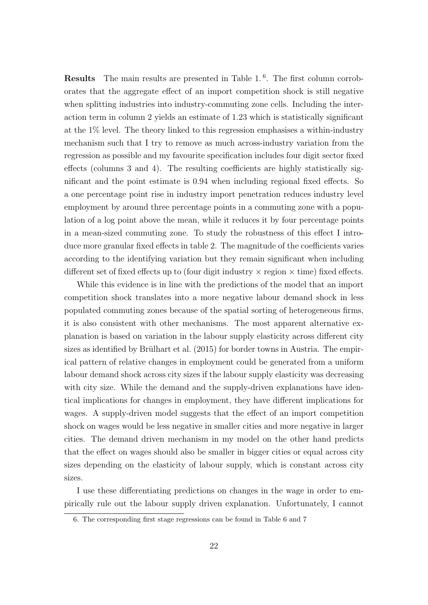**Results** The main results are presented in Table 1.<sup>6</sup>. The first column corroborates that the aggregate effect of an import competition shock is still negative when splitting industries into industry-commuting zone cells. Including the interaction term in column 2 yields an estimate of 1.23 which is statistically significant at the 1% level. The theory linked to this regression emphasises a within-industry mechanism such that I try to remove as much across-industry variation from the regression as possible and my favourite specification includes four digit sector fixed effects (columns 3 and 4). The resulting coefficients are highly statistically significant and the point estimate is 0.94 when including regional fixed effects. So a one percentage point rise in industry import penetration reduces industry level employment by around three percentage points in a commuting zone with a population of a log point above the mean, while it reduces it by four percentage points in a mean-sized commuting zone. To study the robustness of this effect I introduce more granular fixed effects in table 2. The magnitude of the coefficients varies according to the identifying variation but they remain significant when including different set of fixed effects up to (four digit industry  $\times$  region  $\times$  time) fixed effects.

While this evidence is in line with the predictions of the model that an import competition shock translates into a more negative labour demand shock in less populated commuting zones because of the spatial sorting of heterogeneous firms, it is also consistent with other mechanisms. The most apparent alternative explanation is based on variation in the labour supply elasticity across different city sizes as identified by Brülhart et al.  $(2015)$  for border towns in Austria. The empirical pattern of relative changes in employment could be generated from a uniform labour demand shock across city sizes if the labour supply elasticity was decreasing with city size. While the demand and the supply-driven explanations have identical implications for changes in employment, they have different implications for wages. A supply-driven model suggests that the effect of an import competition shock on wages would be less negative in smaller cities and more negative in larger cities. The demand driven mechanism in my model on the other hand predicts that the effect on wages should also be smaller in bigger cities or equal across city sizes depending on the elasticity of labour supply, which is constant across city sizes.

I use these differentiating predictions on changes in the wage in order to empirically rule out the labour supply driven explanation. Unfortunately, I cannot

<sup>6.</sup> The corresponding first stage regressions can be found in Table 6 and 7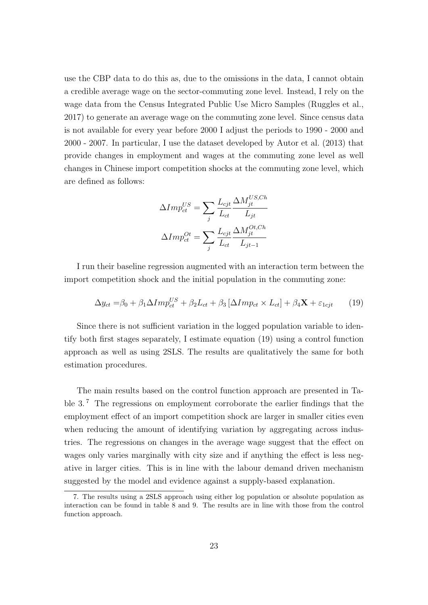use the CBP data to do this as, due to the omissions in the data, I cannot obtain a credible average wage on the sector-commuting zone level. Instead, I rely on the wage data from the Census Integrated Public Use Micro Samples (Ruggles et al., 2017) to generate an average wage on the commuting zone level. Since census data is not available for every year before 2000 I adjust the periods to 1990 - 2000 and 2000 - 2007. In particular, I use the dataset developed by Autor et al. (2013) that provide changes in employment and wages at the commuting zone level as well changes in Chinese import competition shocks at the commuting zone level, which are defined as follows:

$$
\Delta Imp_{ct}^{US} = \sum_{j} \frac{L_{cjt}}{L_{ct}} \frac{\Delta M_{jt}^{USCh}}{L_{jt}}
$$

$$
\Delta Imp_{ct}^{Ot} = \sum_{j} \frac{L_{cjt}}{L_{ct}} \frac{\Delta M_{jt}^{Ot,Ch}}{L_{jt-1}}
$$

I run their baseline regression augmented with an interaction term between the import competition shock and the initial population in the commuting zone:

$$
\Delta y_{ct} = \beta_0 + \beta_1 \Delta Imp_{ct}^{US} + \beta_2 L_{ct} + \beta_3 [\Delta Imp_{ct} \times L_{ct}] + \beta_4 \mathbf{X} + \varepsilon_{1cjt} \tag{19}
$$

Since there is not sufficient variation in the logged population variable to identify both first stages separately, I estimate equation (19) using a control function approach as well as using 2SLS. The results are qualitatively the same for both estimation procedures.

The main results based on the control function approach are presented in Table 3.<sup>7</sup> The regressions on employment corroborate the earlier findings that the employment effect of an import competition shock are larger in smaller cities even when reducing the amount of identifying variation by aggregating across industries. The regressions on changes in the average wage suggest that the effect on wages only varies marginally with city size and if anything the effect is less negative in larger cities. This is in line with the labour demand driven mechanism suggested by the model and evidence against a supply-based explanation.

<sup>7.</sup> The results using a 2SLS approach using either log population or absolute population as interaction can be found in table 8 and 9. The results are in line with those from the control function approach.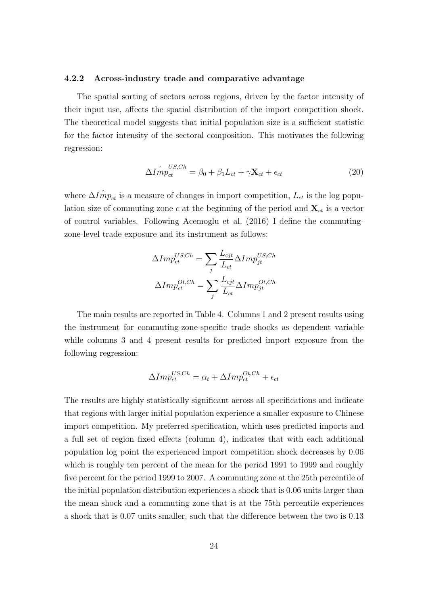#### 4.2.2 Across-industry trade and comparative advantage

The spatial sorting of sectors across regions, driven by the factor intensity of their input use, affects the spatial distribution of the import competition shock. The theoretical model suggests that initial population size is a sufficient statistic for the factor intensity of the sectoral composition. This motivates the following regression:

$$
\Delta I \hat{m}^{US,Ch}_{\text{et}} = \beta_0 + \beta_1 L_{ct} + \gamma \mathbf{X}_{ct} + \epsilon_{ct} \tag{20}
$$

where  $\Delta \hat{Im} p_{ct}$  is a measure of changes in import competition,  $L_{ct}$  is the log population size of commuting zone c at the beginning of the period and  $\mathbf{X}_{ct}$  is a vector of control variables. Following Acemoglu et al. (2016) I define the commutingzone-level trade exposure and its instrument as follows:

$$
\Delta Imp_{ct}^{US,Ch} = \sum_{j} \frac{L_{cjt}}{L_{ct}} \Delta Imp_{jt}^{US,Ch}
$$

$$
\Delta Imp_{ct}^{OL,Ch} = \sum_{j} \frac{L_{cjt}}{L_{ct}} \Delta Imp_{jt}^{OL,Ch}
$$

The main results are reported in Table 4. Columns 1 and 2 present results using the instrument for commuting-zone-specific trade shocks as dependent variable while columns 3 and 4 present results for predicted import exposure from the following regression:

$$
\Delta Imp_{ct}^{US,Ch} = \alpha_t + \Delta Imp_{ct}^{OL,Ch} + \epsilon_{ct}
$$

The results are highly statistically significant across all specifications and indicate that regions with larger initial population experience a smaller exposure to Chinese import competition. My preferred specification, which uses predicted imports and a full set of region fixed effects (column 4), indicates that with each additional population log point the experienced import competition shock decreases by 0.06 which is roughly ten percent of the mean for the period 1991 to 1999 and roughly five percent for the period 1999 to 2007. A commuting zone at the 25th percentile of the initial population distribution experiences a shock that is 0.06 units larger than the mean shock and a commuting zone that is at the 75th percentile experiences a shock that is 0.07 units smaller, such that the difference between the two is 0.13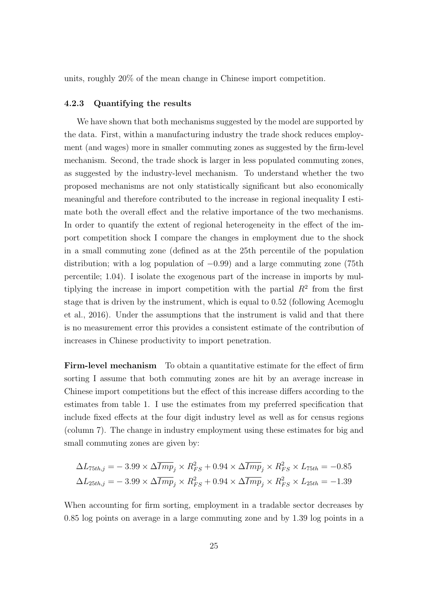units, roughly 20% of the mean change in Chinese import competition.

#### 4.2.3 Quantifying the results

We have shown that both mechanisms suggested by the model are supported by the data. First, within a manufacturing industry the trade shock reduces employment (and wages) more in smaller commuting zones as suggested by the firm-level mechanism. Second, the trade shock is larger in less populated commuting zones, as suggested by the industry-level mechanism. To understand whether the two proposed mechanisms are not only statistically significant but also economically meaningful and therefore contributed to the increase in regional inequality I estimate both the overall effect and the relative importance of the two mechanisms. In order to quantify the extent of regional heterogeneity in the effect of the import competition shock I compare the changes in employment due to the shock in a small commuting zone (defined as at the 25th percentile of the population distribution; with a log population of  $-0.99$ ) and a large commuting zone (75th percentile; 1.04). I isolate the exogenous part of the increase in imports by multiplying the increase in import competition with the partial  $R^2$  from the first stage that is driven by the instrument, which is equal to 0.52 (following Acemoglu et al., 2016). Under the assumptions that the instrument is valid and that there is no measurement error this provides a consistent estimate of the contribution of increases in Chinese productivity to import penetration.

Firm-level mechanism To obtain a quantitative estimate for the effect of firm sorting I assume that both commuting zones are hit by an average increase in Chinese import competitions but the effect of this increase differs according to the estimates from table 1. I use the estimates from my preferred specification that include fixed effects at the four digit industry level as well as for census regions (column 7). The change in industry employment using these estimates for big and small commuting zones are given by:

$$
\Delta L_{75th,j} = -3.99 \times \Delta \overline{Imp}_j \times R_{FS}^2 + 0.94 \times \Delta \overline{Imp}_j \times R_{FS}^2 \times L_{75th} = -0.85
$$
  

$$
\Delta L_{25th,j} = -3.99 \times \Delta \overline{Imp}_j \times R_{FS}^2 + 0.94 \times \Delta \overline{Imp}_j \times R_{FS}^2 \times L_{25th} = -1.39
$$

When accounting for firm sorting, employment in a tradable sector decreases by 0.85 log points on average in a large commuting zone and by 1.39 log points in a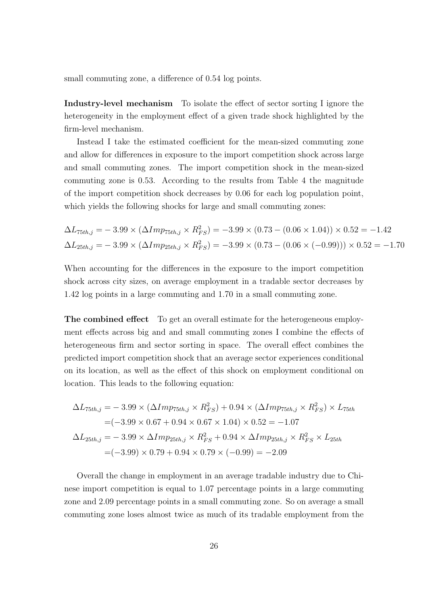small commuting zone, a difference of 0.54 log points.

Industry-level mechanism To isolate the effect of sector sorting I ignore the heterogeneity in the employment effect of a given trade shock highlighted by the firm-level mechanism.

Instead I take the estimated coefficient for the mean-sized commuting zone and allow for differences in exposure to the import competition shock across large and small commuting zones. The import competition shock in the mean-sized commuting zone is 0.53. According to the results from Table 4 the magnitude of the import competition shock decreases by 0.06 for each log population point, which yields the following shocks for large and small commuting zones:

$$
\Delta L_{75th,j} = -3.99 \times (\Delta Imp_{75th,j} \times R_{FS}^2) = -3.99 \times (0.73 - (0.06 \times 1.04)) \times 0.52 = -1.42
$$
  

$$
\Delta L_{25th,j} = -3.99 \times (\Delta Imp_{25th,j} \times R_{FS}^2) = -3.99 \times (0.73 - (0.06 \times (-0.99))) \times 0.52 = -1.70
$$

When accounting for the differences in the exposure to the import competition shock across city sizes, on average employment in a tradable sector decreases by 1.42 log points in a large commuting and 1.70 in a small commuting zone.

The combined effect To get an overall estimate for the heterogeneous employment effects across big and and small commuting zones I combine the effects of heterogeneous firm and sector sorting in space. The overall effect combines the predicted import competition shock that an average sector experiences conditional on its location, as well as the effect of this shock on employment conditional on location. This leads to the following equation:

$$
\Delta L_{75th,j} = -3.99 \times (\Delta Imp_{75th,j} \times R_{FS}^2) + 0.94 \times (\Delta Imp_{75th,j} \times R_{FS}^2) \times L_{75th}
$$
  
= (-3.99 \times 0.67 + 0.94 \times 0.67 \times 1.04) \times 0.52 = -1.07  

$$
\Delta L_{25th,j} = -3.99 \times \Delta Imp_{25th,j} \times R_{FS}^2 + 0.94 \times \Delta Imp_{25th,j} \times R_{FS}^2 \times L_{25th}
$$
  
= (-3.99) \times 0.79 + 0.94 \times 0.79 \times (-0.99) = -2.09

Overall the change in employment in an average tradable industry due to Chinese import competition is equal to 1.07 percentage points in a large commuting zone and 2.09 percentage points in a small commuting zone. So on average a small commuting zone loses almost twice as much of its tradable employment from the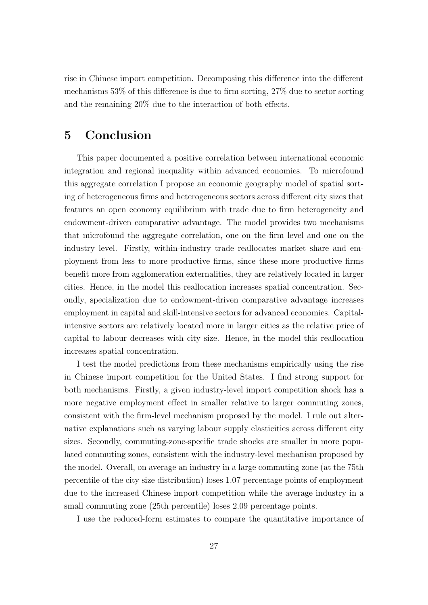rise in Chinese import competition. Decomposing this difference into the different mechanisms 53% of this difference is due to firm sorting, 27% due to sector sorting and the remaining 20% due to the interaction of both effects.

## 5 Conclusion

This paper documented a positive correlation between international economic integration and regional inequality within advanced economies. To microfound this aggregate correlation I propose an economic geography model of spatial sorting of heterogeneous firms and heterogeneous sectors across different city sizes that features an open economy equilibrium with trade due to firm heterogeneity and endowment-driven comparative advantage. The model provides two mechanisms that microfound the aggregate correlation, one on the firm level and one on the industry level. Firstly, within-industry trade reallocates market share and employment from less to more productive firms, since these more productive firms benefit more from agglomeration externalities, they are relatively located in larger cities. Hence, in the model this reallocation increases spatial concentration. Secondly, specialization due to endowment-driven comparative advantage increases employment in capital and skill-intensive sectors for advanced economies. Capitalintensive sectors are relatively located more in larger cities as the relative price of capital to labour decreases with city size. Hence, in the model this reallocation increases spatial concentration.

I test the model predictions from these mechanisms empirically using the rise in Chinese import competition for the United States. I find strong support for both mechanisms. Firstly, a given industry-level import competition shock has a more negative employment effect in smaller relative to larger commuting zones, consistent with the firm-level mechanism proposed by the model. I rule out alternative explanations such as varying labour supply elasticities across different city sizes. Secondly, commuting-zone-specific trade shocks are smaller in more populated commuting zones, consistent with the industry-level mechanism proposed by the model. Overall, on average an industry in a large commuting zone (at the 75th percentile of the city size distribution) loses 1.07 percentage points of employment due to the increased Chinese import competition while the average industry in a small commuting zone (25th percentile) loses 2.09 percentage points.

I use the reduced-form estimates to compare the quantitative importance of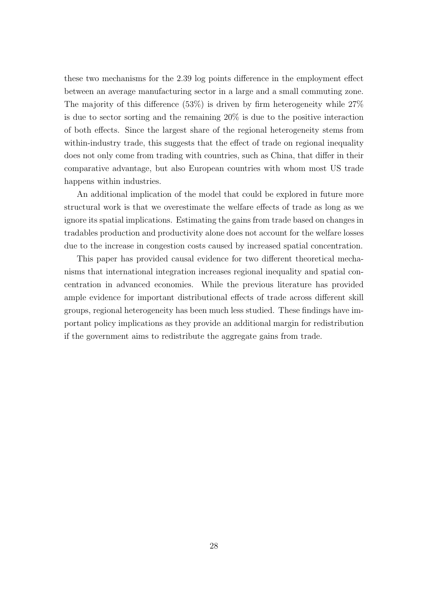these two mechanisms for the 2.39 log points difference in the employment effect between an average manufacturing sector in a large and a small commuting zone. The majority of this difference  $(53\%)$  is driven by firm heterogeneity while  $27\%$ is due to sector sorting and the remaining 20% is due to the positive interaction of both effects. Since the largest share of the regional heterogeneity stems from within-industry trade, this suggests that the effect of trade on regional inequality does not only come from trading with countries, such as China, that differ in their comparative advantage, but also European countries with whom most US trade happens within industries.

An additional implication of the model that could be explored in future more structural work is that we overestimate the welfare effects of trade as long as we ignore its spatial implications. Estimating the gains from trade based on changes in tradables production and productivity alone does not account for the welfare losses due to the increase in congestion costs caused by increased spatial concentration.

This paper has provided causal evidence for two different theoretical mechanisms that international integration increases regional inequality and spatial concentration in advanced economies. While the previous literature has provided ample evidence for important distributional effects of trade across different skill groups, regional heterogeneity has been much less studied. These findings have important policy implications as they provide an additional margin for redistribution if the government aims to redistribute the aggregate gains from trade.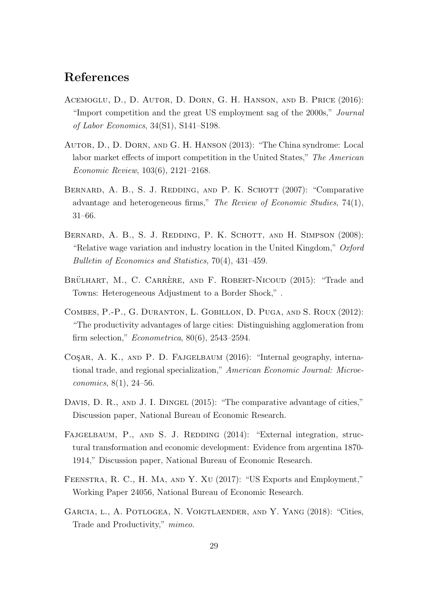# References

- Acemoglu, D., D. Autor, D. Dorn, G. H. Hanson, and B. Price (2016): "Import competition and the great US employment sag of the 2000s," Journal of Labor Economics, 34(S1), S141–S198.
- Autor, D., D. Dorn, and G. H. Hanson (2013): "The China syndrome: Local labor market effects of import competition in the United States," The American Economic Review, 103(6), 2121–2168.
- BERNARD, A. B., S. J. REDDING, AND P. K. SCHOTT (2007): "Comparative advantage and heterogeneous firms," The Review of Economic Studies, 74(1), 31–66.
- BERNARD, A. B., S. J. REDDING, P. K. SCHOTT, AND H. SIMPSON (2008): "Relative wage variation and industry location in the United Kingdom,"  $Oxford$ Bulletin of Economics and Statistics, 70(4), 431–459.
- BRÜLHART, M., C. CARRÈRE, AND F. ROBERT-NICOUD (2015): "Trade and Towns: Heterogeneous Adjustment to a Border Shock," .
- Combes, P.-P., G. Duranton, L. Gobillon, D. Puga, and S. Roux (2012): "The productivity advantages of large cities: Distinguishing agglomeration from firm selection," Econometrica, 80(6), 2543–2594.
- COSAR, A. K., AND P. D. FAJGELBAUM (2016): "Internal geography, international trade, and regional specialization," American Economic Journal: Microeconomics, 8(1), 24–56.
- DAVIS, D. R., AND J. I. DINGEL (2015): "The comparative advantage of cities," Discussion paper, National Bureau of Economic Research.
- FAJGELBAUM, P., AND S. J. REDDING (2014): "External integration, structural transformation and economic development: Evidence from argentina 1870- 1914," Discussion paper, National Bureau of Economic Research.
- Feenstra, R. C., H. Ma, and Y. Xu (2017): "US Exports and Employment," Working Paper 24056, National Bureau of Economic Research.
- Garcia, l., A. Potlogea, N. Voigtlaender, and Y. Yang (2018): "Cities, Trade and Productivity," mimeo.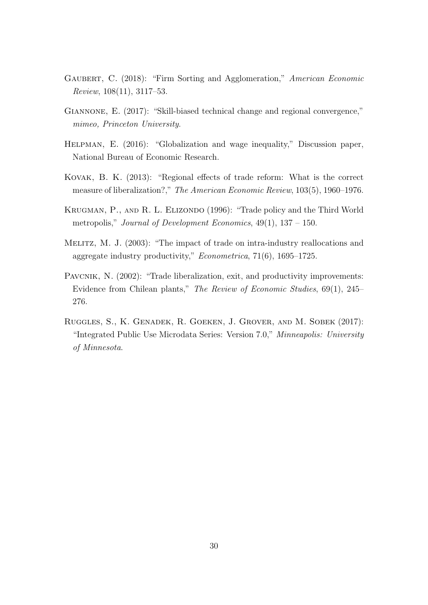- GAUBERT, C. (2018): "Firm Sorting and Agglomeration," American Economic Review, 108(11), 3117–53.
- GIANNONE, E. (2017): "Skill-biased technical change and regional convergence," mimeo, Princeton University.
- Helpman, E. (2016): "Globalization and wage inequality," Discussion paper, National Bureau of Economic Research.
- Kovak, B. K. (2013): "Regional effects of trade reform: What is the correct measure of liberalization?," The American Economic Review, 103(5), 1960–1976.
- KRUGMAN, P., AND R. L. ELIZONDO (1996): "Trade policy and the Third World metropolis," Journal of Development Economics,  $49(1)$ ,  $137 - 150$ .
- Melitz, M. J. (2003): "The impact of trade on intra-industry reallocations and aggregate industry productivity," Econometrica, 71(6), 1695–1725.
- PAVCNIK, N.  $(2002)$ : "Trade liberalization, exit, and productivity improvements: Evidence from Chilean plants," The Review of Economic Studies, 69(1), 245– 276.
- Ruggles, S., K. Genadek, R. Goeken, J. Grover, and M. Sobek (2017): "Integrated Public Use Microdata Series: Version 7.0," Minneapolis: University of Minnesota.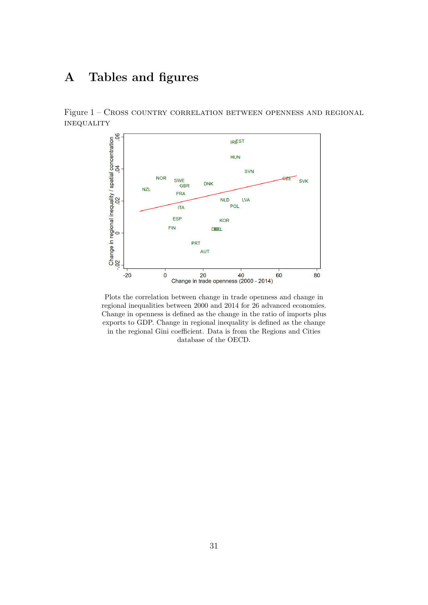# A Tables and figures

Figure 1 – Cross country correlation between openness and regional **INEQUALITY** 



Plots the correlation between change in trade openness and change in regional inequalities between 2000 and 2014 for 26 advanced economies. Change in openness is defined as the change in the ratio of imports plus exports to GDP. Change in regional inequality is defined as the change in the regional Gini coefficient. Data is from the Regions and Cities database of the OECD.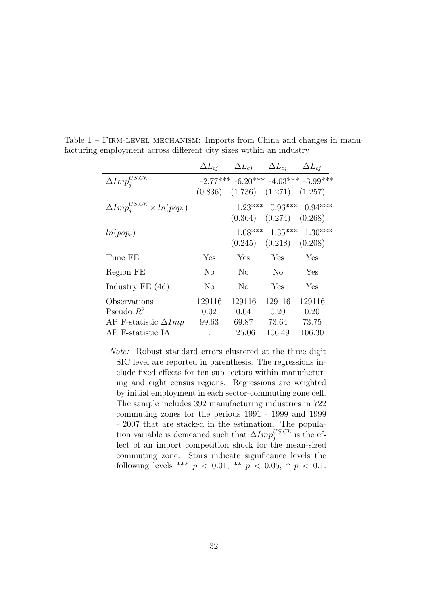|                                         |                | $\Delta L_{cj}$ $\Delta L_{cj}$ $\Delta L_{cj}$ $\Delta L_{cj}$ |                               |                                             |
|-----------------------------------------|----------------|-----------------------------------------------------------------|-------------------------------|---------------------------------------------|
| $\Delta Imp_{i}^{US,Ch}$                |                |                                                                 |                               | $-2.77***$ $-6.20***$ $-4.03***$ $-3.99***$ |
|                                         |                | $(0.836)$ $(1.736)$ $(1.271)$ $(1.257)$                         |                               |                                             |
| $\Delta Imp_i^{US,Ch} \times ln(pop_c)$ |                |                                                                 |                               | $1.23***$ 0.96*** 0.94***                   |
|                                         |                |                                                                 | $(0.364)$ $(0.274)$ $(0.268)$ |                                             |
| $ln(pop_c)$                             |                |                                                                 |                               | $1.08***$ $1.35***$ $1.30***$               |
|                                         |                |                                                                 | $(0.245)$ $(0.218)$ $(0.208)$ |                                             |
| Time FE                                 | Yes            | Yes                                                             | Yes                           | Yes                                         |
| Region FE                               | No             | N <sub>o</sub>                                                  | N <sub>o</sub>                | Yes                                         |
| Industry $FE(4d)$                       | N <sub>o</sub> | N <sub>o</sub>                                                  | Yes                           | Yes                                         |
| Observations                            | 129116         | 129116                                                          | 129116                        | 129116                                      |
| Pseudo $R^2$                            | 0.02           | 0.04                                                            | 0.20                          | 0.20                                        |
| AP F-statistic $\Delta Imp$             | 99.63          | 69.87                                                           | 73.64                         | 73.75                                       |
| AP F-statistic IA                       |                | 125.06                                                          | 106.49                        | 106.30                                      |

Table  $1 -$  FIRM-LEVEL MECHANISM: Imports from China and changes in manufacturing employment across different city sizes within an industry

Note: Robust standard errors clustered at the three digit SIC level are reported in parenthesis. The regressions include fixed effects for ten sub-sectors within manufacturing and eight census regions. Regressions are weighted by initial employment in each sector-commuting zone cell. The sample includes 392 manufacturing industries in 722 commuting zones for the periods 1991 - 1999 and 1999 - 2007 that are stacked in the estimation. The population variable is demeaned such that  $\Delta Imp_j^{US,Ch}$  is the effect of an import competition shock for the mean-sized commuting zone. Stars indicate significance levels the following levels \*\*\*  $p < 0.01$ , \*\*  $p < 0.05$ , \*  $p < 0.1$ .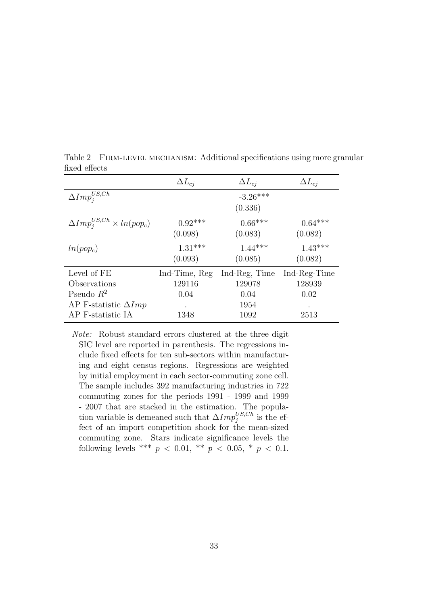|                                        | $\Delta L_{ci}$ | $\Delta L_{cj}$ | $\Delta L_{ci}$ |
|----------------------------------------|-----------------|-----------------|-----------------|
| $\Delta Imp^{US,Ch}_i$                 |                 | $-3.26***$      |                 |
|                                        |                 | (0.336)         |                 |
| $\Delta Imp_i^{US,Ch}\times ln(pop_c)$ | $0.92***$       | $0.66***$       | $0.64***$       |
|                                        | (0.098)         | (0.083)         | (0.082)         |
| $ln(pop_c)$                            | $1.31***$       | $1.44***$       | $1.43***$       |
|                                        | (0.093)         | (0.085)         | (0.082)         |
| Level of FE                            | Ind-Time, Reg   | Ind-Reg. Time   | Ind-Reg-Time    |
| Observations                           | 129116          | 129078          | 128939          |
| Pseudo $R^2$                           | 0.04            | 0.04            | 0.02            |
| AP F-statistic $\Delta Imp$            | $\bullet$       | 1954            | $\bullet$       |
| AP F-statistic IA                      | 1348            | 1092            | 2513            |

Table 2 – Firm-level mechanism: Additional specifications using more granular fixed effects

Note: Robust standard errors clustered at the three digit SIC level are reported in parenthesis. The regressions include fixed effects for ten sub-sectors within manufacturing and eight census regions. Regressions are weighted by initial employment in each sector-commuting zone cell. The sample includes 392 manufacturing industries in 722 commuting zones for the periods 1991 - 1999 and 1999 - 2007 that are stacked in the estimation. The population variable is demeaned such that  $\Delta Imp_j^{US,Ch}$  is the effect of an import competition shock for the mean-sized commuting zone. Stars indicate significance levels the following levels \*\*\*  $p < 0.01$ , \*\*  $p < 0.05$ , \*  $p < 0.1$ .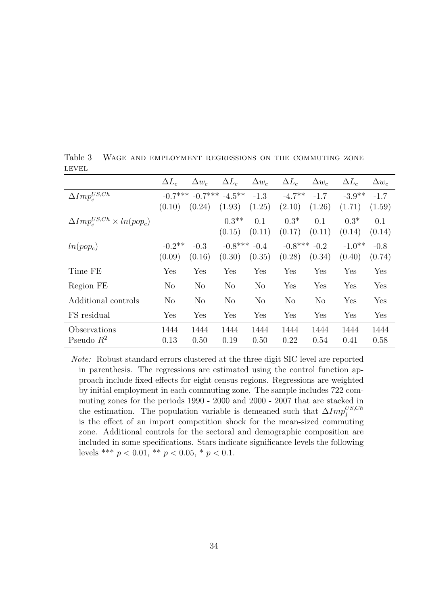|                                         | $\Delta L_c$   | $\Delta w_c$   | $\Delta L_c$        | $\Delta w_c$   | $\Delta L_c$   | $\Delta w_c$   | $\Delta L_c$ | $\Delta w_c$ |
|-----------------------------------------|----------------|----------------|---------------------|----------------|----------------|----------------|--------------|--------------|
| $\Delta Imp_c^{US,Ch}$                  | $-0.7***$      |                | $-0.7***$ $-4.5***$ | $-1.3$         | $-4.7**$       | $-1.7$         | $-3.9**$     | $-1.7$       |
|                                         | (0.10)         | (0.24)         | (1.93)              | (1.25)         | (2.10)         | (1.26)         | (1.71)       | (1.59)       |
| $\Delta Imp_c^{US,Ch} \times ln(pop_c)$ |                |                | $0.3**$             | 0.1            | $0.3*$         | 0.1            | $0.3*$       | 0.1          |
|                                         |                |                | (0.15)              | (0.11)         | (0.17)         | (0.11)         | (0.14)       | (0.14)       |
| $ln(pop_c)$                             | $-0.2$ **      | $-0.3$         | $-0.8***$           | $-0.4$         | $-0.8$ ***     | $-0.2$         | $-1.0**$     | $-0.8$       |
|                                         | (0.09)         | (0.16)         | (0.30)              | (0.35)         | (0.28)         | (0.34)         | (0.40)       | (0.74)       |
| Time FE                                 | Yes            | Yes            | Yes                 | Yes            | Yes            | Yes            | Yes          | Yes          |
| Region FE                               | N <sub>o</sub> | N <sub>o</sub> | N <sub>o</sub>      | N <sub>o</sub> | Yes            | Yes            | Yes          | Yes          |
| Additional controls                     | N <sub>o</sub> | N <sub>o</sub> | N <sub>o</sub>      | N <sub>o</sub> | N <sub>o</sub> | N <sub>o</sub> | Yes          | Yes          |
| FS residual                             | Yes            | Yes            | Yes                 | Yes            | Yes            | Yes            | Yes          | Yes          |
| Observations                            | 1444           | 1444           | 1444                | 1444           | 1444           | 1444           | 1444         | 1444         |
| Pseudo $R^2$                            | 0.13           | 0.50           | 0.19                | 0.50           | 0.22           | 0.54           | 0.41         | 0.58         |

Table 3 – Wage and employment regressions on the commuting zone LEVEL

Note: Robust standard errors clustered at the three digit SIC level are reported in parenthesis. The regressions are estimated using the control function approach include fixed effects for eight census regions. Regressions are weighted by initial employment in each commuting zone. The sample includes 722 commuting zones for the periods 1990 - 2000 and 2000 - 2007 that are stacked in the estimation. The population variable is demeaned such that  $\Delta Imp_j^{US,Ch}$ is the effect of an import competition shock for the mean-sized commuting zone. Additional controls for the sectoral and demographic composition are included in some specifications. Stars indicate significance levels the following levels \*\*\*  $p < 0.01$ , \*\*  $p < 0.05$ , \*  $p < 0.1$ .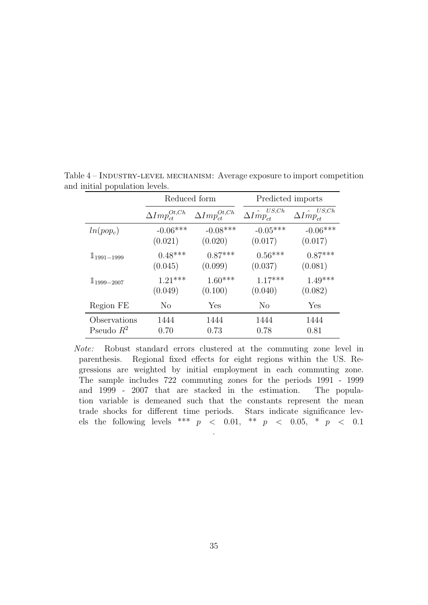|                 | Reduced form              |                           |                                 | Predicted imports           |  |
|-----------------|---------------------------|---------------------------|---------------------------------|-----------------------------|--|
|                 | $\Delta Imp_{ct}^{Ot,Ch}$ | $\Delta Imp_{ct}^{Ot,Ch}$ | $\Delta \hat{Imp_{ct}^{US,Ch}}$ | US, Ch<br>$\Delta Imp_{ct}$ |  |
| $ln(pop_c)$     | $-0.06***$                | $-0.08***$                | $-0.05***$                      | $-0.06***$                  |  |
|                 | (0.021)                   | (0.020)                   | (0.017)                         | (0.017)                     |  |
| $1_{1991-1999}$ | $0.48***$                 | $0.87***$                 | $0.56***$                       | $0.87***$                   |  |
|                 | (0.045)                   | (0.099)                   | (0.037)                         | (0.081)                     |  |
| $1_{1999-2007}$ | $1.21***$                 | $1.60***$                 | $1.17***$                       | $1.49***$                   |  |
|                 | (0.049)                   | (0.100)                   | (0.040)                         | (0.082)                     |  |
| Region FE       | N <sub>o</sub>            | Yes                       | N <sub>o</sub>                  | Yes                         |  |
| Observations    | 1444                      | 1444                      | 1444                            | 1444                        |  |
| Pseudo $R^2$    | 0.70                      | 0.73                      | 0.78                            | 0.81                        |  |

Table 4 – INDUSTRY-LEVEL MECHANISM: Average exposure to import competition and initial population levels.

Note: Robust standard errors clustered at the commuting zone level in parenthesis. Regional fixed effects for eight regions within the US. Regressions are weighted by initial employment in each commuting zone. The sample includes 722 commuting zones for the periods 1991 - 1999 and 1999 - 2007 that are stacked in the estimation. The population variable is demeaned such that the constants represent the mean trade shocks for different time periods. Stars indicate significance levels the following levels \*\*\*  $p \le 0.01$ , \*\*  $p \le 0.05$ , \*  $p \le 0.1$ .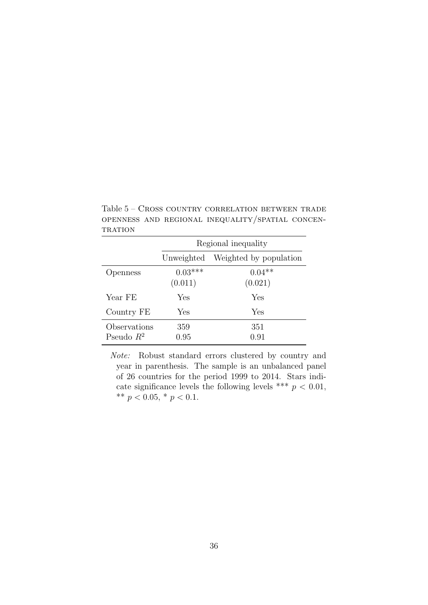|                              |                      | Regional inequality               |
|------------------------------|----------------------|-----------------------------------|
|                              |                      | Unweighted Weighted by population |
| Openness                     | $0.03***$<br>(0.011) | $0.04**$<br>(0.021)               |
| Year FE                      | Yes                  | Yes                               |
| Country FE                   | Yes                  | Yes                               |
| Observations<br>Pseudo $R^2$ | 359<br>0.95          | 351<br>$0.91\,$                   |

Table 5 – Cross country correlation between trade openness and regional inequality/spatial concen-**TRATION** 

Note: Robust standard errors clustered by country and year in parenthesis. The sample is an unbalanced panel of 26 countries for the period 1999 to 2014. Stars indicate significance levels the following levels \*\*\*  $p < 0.01$ , \*\*  $p < 0.05$ , \*  $p < 0.1$ .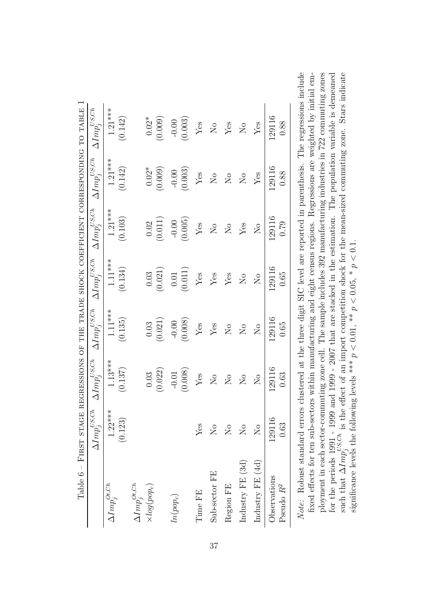|                                                                                             | Table 6 - FIRST STAGE REGRESSIONS OF THE TRADE SHOCK COEFFICIENT CORRESPONDING TO TABLE 1 |                                                                                                      |                           |                            |                                |                           |                        |
|---------------------------------------------------------------------------------------------|-------------------------------------------------------------------------------------------|------------------------------------------------------------------------------------------------------|---------------------------|----------------------------|--------------------------------|---------------------------|------------------------|
|                                                                                             | $\underline{\Delta Im}p_j^{US,Ch}$                                                        | $\Delta Imp^{US,Ch}_i$                                                                               | $\Delta Imp^{US,Ch}_j$    | $\Delta Imp^{US,Ch}_j$     | $\Delta Imp^{US,Ch}_j$         | $\Delta Imp^{US,Ch}_j$    | $\Delta Imp^{US,Ch}_j$ |
| $\Delta Imp^{Ot,Ch}_j$                                                                      | $1.22***$                                                                                 | $1.13***$                                                                                            | $1.11***$                 | $1.11***$                  | $1.21***$                      | $1.21***$                 | $1.21***$              |
|                                                                                             | (0.123)                                                                                   | (0.137)                                                                                              | (0.135)                   | (0.134)                    | (0.103)                        | (0.142)                   | (0.142)                |
| $\Delta Imp^{Ot,Ch}_j$                                                                      |                                                                                           |                                                                                                      |                           |                            |                                |                           |                        |
| $\times log(pop_c)$                                                                         |                                                                                           | (0.022)<br>$0.03\,$                                                                                  | (0.021)<br>0.03           | (0.021)<br>$0.03\,$        | (0.011)<br>0.02                | $0.02*$<br>(0.009)        | $0.02*$<br>(0.009)     |
|                                                                                             |                                                                                           |                                                                                                      |                           |                            |                                |                           |                        |
| $ln(pop_c)$                                                                                 |                                                                                           | $-0.01$                                                                                              | $-0.00$                   | $0.01\,$                   | $-0.00$                        | $-0.00$                   | $-0.00$                |
|                                                                                             |                                                                                           | (0.008)                                                                                              | (0.008)                   | (0.011)                    | (0.005)                        | (0.003)                   | (0.003)                |
| Time FE                                                                                     | Yes                                                                                       | ${\rm Yes}$                                                                                          | $\mathbf{Yes}$            | $\rm Yes$                  | $\rm Yes$                      | $\rm Yes$                 | $\operatorname{Yes}$   |
| Sub-sector FE                                                                               | $\overline{\mathsf{X}}^{\mathsf{o}}$                                                      | $\rm N_{O}$                                                                                          | $\rm Yes$                 | Yes                        | $\rm N_{O}$                    | $\rm \stackrel{\circ}{X}$ | $\overline{S}$         |
| Region FE                                                                                   | $\overline{N}$                                                                            | $\rm \stackrel{\circ}{X}$                                                                            | $\rm \stackrel{\circ}{X}$ | ${\rm Yes}$                | $\overline{N}_{\overline{O}}$  | $\rm \stackrel{\circ}{X}$ | ${\rm Yes}$            |
| Industry FE $(3d)$                                                                          | $\overline{\mathsf{X}}^{\mathsf{o}}$                                                      | $\sum_{i=1}^{n}$                                                                                     | $\overline{N}$            | $\mathcal{S}_{\mathsf{N}}$ | ${\rm Yes}$                    | $\rm \stackrel{\circ}{X}$ | $\overline{N}$         |
| Industry FE (4d)                                                                            | $\overline{\mathsf{X}}^{\mathsf{o}}$                                                      | $\overline{\mathsf{S}}$                                                                              | $\overline{R}$            | $\overline{R}$             | $\sum_{i=1}^{n}$               | Yes                       | Yes                    |
| Observations                                                                                | 129116                                                                                    | 129116                                                                                               | 129116                    | 129116                     | 129116                         | 129116                    | 129116                 |
| Pseudo $R^2$                                                                                | 0.63                                                                                      | 0.63                                                                                                 | 0.65                      | 0.65                       | 0.79                           | 0.88                      | 0.88                   |
| $N_{\alpha}$ is $\Omega_{\alpha}$ . The least of $\Omega_{\alpha}$ is $\Omega_{\alpha}$ and |                                                                                           | ", CHATH CHATH HATH ALL + 1.4 + 1.4 + 1.4 + 1.4 + 1.4 + 1.4 + 1.4 + 1.4 + 1.4 + 1.4 + 1.4 + 1.4 + 1. |                           |                            | ranometra la la la la como con |                           | ml.c. magnac           |

Note: Robust standard errors clustered at the three digit SIC level are reported in parenthesis. The regressions include fixed effects for ten sub-sectors within manufacturing and eight census regions. Regressions are weighted by initial employment in each sector-commuting zone cell. The sample includes 392 manufacturing industries in 722 commuting zones for the periods 1991 - 1999 and 1999 - 2007 that are stacked in the estimation. The population variable is demeaned<br>such that  $\Delta Imp_j^{US,Ch}$  is the effect of an import competition shock for the mean-sized commuting zone. Sta Note: Robust standard errors clustered at the three digit SIC level are reported in parenthesis. The regressions include ployment in each sector-commuting zone cell. The sample includes 392 manufacturing industries in 722 commuting zones such that  $\Delta Imp_j^{US,Ch}$  is the effect of an import competition shock for the mean-sized commuting zone. Stars indicate fixed effects for ten sub-sectors within manufacturing and eight census regions. Regressions are weighted by initial emfor the periods 1991 - 1999 and 1999 - 2007 that are stacked in the estimation. The population variable is demeaned significance levels the following levels \*\*\*  $p < 0.01$ , \*\*  $p < 0.05$ , \*  $p < 0.1$ . significance levels the following levels \*\*\*  $p < 0.01$ , \*\*  $p < 0.05$ , \*  $p < 0.1$ .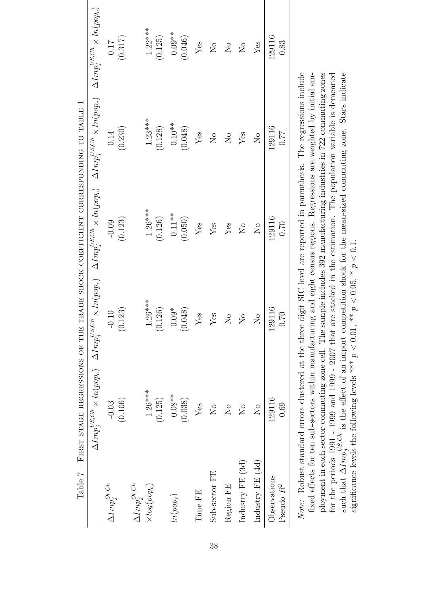| Table 7 – FIRST STAGE REGRESSIONS OF THE TRADE SHOCK COEFFICIENT CORRESPONDING TO TABLE 1 |                               |                                                                                                                                                                                                                    |                               |                                      |                               |
|-------------------------------------------------------------------------------------------|-------------------------------|--------------------------------------------------------------------------------------------------------------------------------------------------------------------------------------------------------------------|-------------------------------|--------------------------------------|-------------------------------|
|                                                                                           |                               | $\Delta Imp_j^{VSCh} \times ln(pop_c) \quad \Delta Imp_j^{VSCh} \times ln(pop_c) \quad \Delta Imp_j^{VSCh} \times ln(pop_c) \quad \Delta Imp_j^{VSCh} \times ln(pop_c) \quad \Delta Imp_i^{VSCh} \times ln(pop_c)$ |                               |                                      |                               |
| $\Delta Imp^{Ot,Ch}_i$                                                                    | $-0.03$                       | $-0.10$                                                                                                                                                                                                            | $-0.09$                       | 0.14                                 | 0.17                          |
|                                                                                           | (0.106)                       | (0.123)                                                                                                                                                                                                            | (0.123)                       | (0.230)                              | (0.317)                       |
| $\Delta Imp^{Ot,Ch}_i$                                                                    |                               |                                                                                                                                                                                                                    |                               |                                      |                               |
| $\times log(pop_c)$                                                                       | $1.26***$                     | $1.26***$                                                                                                                                                                                                          | $1.26***$                     | $1.23***$                            | $1.22***$                     |
|                                                                                           | (0.125)                       | (0.126)                                                                                                                                                                                                            | (0.126)                       | (0.128)                              | (0.125)                       |
| $ln(pop_c)$                                                                               | $0.08**$                      | $0.09*$                                                                                                                                                                                                            | $0.11**$                      | $0.10**$                             | $0.09**$                      |
|                                                                                           | (0.038)                       | (0.048)                                                                                                                                                                                                            | (0.050)                       | (0.048)                              | (0.046)                       |
| Time FE                                                                                   | Yes                           | Yes                                                                                                                                                                                                                | Yes                           | $Y$ es                               | Yes                           |
| Sub-sector FE                                                                             | $\overline{S}$                | Yes                                                                                                                                                                                                                | Yes                           | $\overline{\Sigma}$                  | $\overline{\mathsf{S}}$       |
| Region FE                                                                                 | $\overline{N}$                | $\overline{S}$                                                                                                                                                                                                     | Yes                           | $\overline{\Sigma}$                  | $\overline{N}$                |
| Industry FE (3d)                                                                          | $\overline{N}_{\overline{O}}$ | $\overline{N}_{\overline{Q}}$                                                                                                                                                                                      | $\overline{N}_{\overline{O}}$ | Yes                                  | $\overline{N}_{\overline{Q}}$ |
| Industry FE (4d)                                                                          | $\overline{\mathsf{X}}$       | $\overline{\mathsf{N}}$                                                                                                                                                                                            | $\overline{N}_{\overline{Q}}$ | $\overline{\mathsf{X}}^{\mathsf{o}}$ | Yes                           |
| Observations                                                                              | 129116                        | 129116                                                                                                                                                                                                             | 129116                        | 129116                               | 129116                        |
| Pseudo $R^2$                                                                              | 0.69                          | 0.70                                                                                                                                                                                                               | 0.70                          | 0.77                                 | 0.83                          |

fixed effects for ten sub-sectors within manufacturing and eight census regions. Regressions are weighted by initial employment in each sector-commuting zone cell. The sample includes 392 manufacturing industries in 722 commuting zones for the periods 1991 - 1999 and 1999 - 2007 that are stacked in the estimation. The population variable is demeaned such that  $\Delta Imp_j^{US,Ch}$  is the effect of an import competition shock for the mean-sized commuting zone. St ployment in each sector-commuting zone cell. The sample includes 392 manufacturing industries in 722 commuting zones such that  $\Delta Imp_j^{US,Ch}$  is the effect of an import competition shock for the mean-sized commuting zone. Stars indicate fixed effects for ten sub-sectors within manufacturing and eight census regions. Regressions are weighted by initial emfor the periods 1991 - 1999 and 1999 - 2007 that are stacked in the estimation. The population variable is demeaned significance levels the following levels \*\*\*  $p < 0.01$ , \*\*  $p < 0.05$ , \*  $p < 0.1$ . significance levels the following levels \*\*\*  $p < 0.01$ , \*\*  $p < 0.05$ , \*  $p < 0.1$ .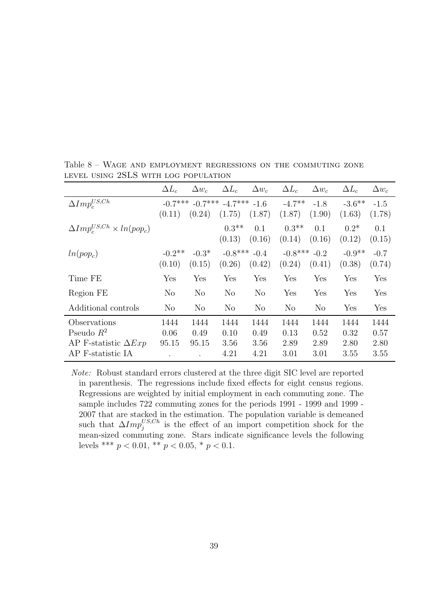|                                                  | $\Delta L_c$        | $\Delta w_c$       | $\Delta L_c$                         | $\Delta w_c$   | $\Delta L_c$        | $\Delta w_c$     | $\Delta L_c$        | $\Delta w_c$     |
|--------------------------------------------------|---------------------|--------------------|--------------------------------------|----------------|---------------------|------------------|---------------------|------------------|
| $\Delta Imp^{US,Ch}_c$                           | $-0.7***$<br>(0.11) | (0.24)             | $-0.7***$ $-4.7***$ $-1.6$<br>(1.75) | (1.87)         | $-4.7**$<br>(1.87)  | $-1.8$<br>(1.90) | $-3.6***$<br>(1.63) | $-1.5$<br>(1.78) |
| $\Delta Imp_c^{US,Ch} \times ln(pop_c)$          |                     |                    | $0.3**$<br>(0.13)                    | 0.1<br>(0.16)  | $0.3**$<br>(0.14)   | 0.1<br>(0.16)    | $0.2*$<br>(0.12)    | 0.1<br>(0.15)    |
| $ln(pop_c)$                                      | $-0.2$ **<br>(0.10) | $-0.3*$<br>(0.15)  | $-0.8***$ $-0.4$<br>(0.26)           | (0.42)         | $-0.8***$<br>(0.24) | $-0.2$<br>(0.41) | $-0.9**$<br>(0.38)  | $-0.7$<br>(0.74) |
| Time FE                                          | Yes                 | Yes                | Yes                                  | Yes            | Yes                 | Yes              | Yes                 | Yes              |
| Region FE                                        | $\rm No$            | N <sub>o</sub>     | No                                   | $\rm No$       | Yes                 | Yes              | Yes                 | Yes              |
| Additional controls                              | N <sub>o</sub>      | N <sub>o</sub>     | $\rm No$                             | N <sub>o</sub> | $\rm No$            | N <sub>o</sub>   | Yes                 | Yes              |
| Observations<br>Pseudo $R^2$                     | 1444<br>0.06        | 1444<br>0.49       | 1444<br>0.10                         | 1444<br>0.49   | 1444<br>0.13        | 1444<br>0.52     | 1444<br>0.32        | 1444<br>0.57     |
| AP F-statistic $\Delta Exp$<br>AP F-statistic IA | 95.15               | 95.15<br>$\bullet$ | 3.56<br>4.21                         | 3.56<br>4.21   | 2.89<br>3.01        | 2.89<br>3.01     | 2.80<br>3.55        | 2.80<br>3.55     |

Table 8 – Wage and employment regressions on the commuting zone level using 2SLS with log population

Note: Robust standard errors clustered at the three digit SIC level are reported in parenthesis. The regressions include fixed effects for eight census regions. Regressions are weighted by initial employment in each commuting zone. The sample includes 722 commuting zones for the periods 1991 - 1999 and 1999 - 2007 that are stacked in the estimation. The population variable is demeaned such that  $\Delta Imp_j^{US,Ch}$  is the effect of an import competition shock for the mean-sized commuting zone. Stars indicate significance levels the following levels \*\*\*  $p < 0.01$ , \*\*  $p < 0.05$ , \*  $p < 0.1$ .